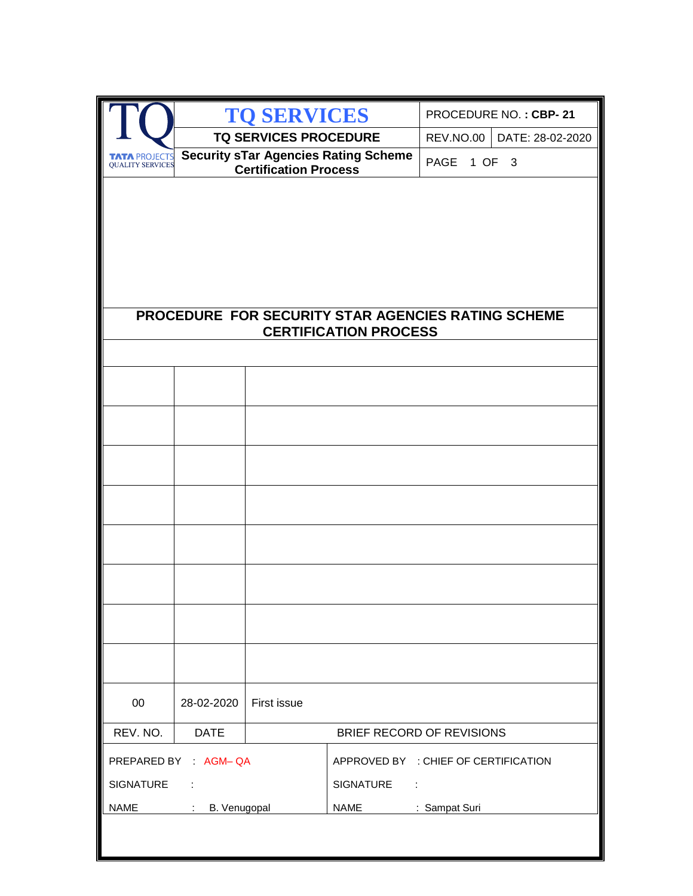|                                                 |                                          | <b>TO SERVICES</b>           |                                                    |                  | PROCEDURE NO.: CBP-21 |
|-------------------------------------------------|------------------------------------------|------------------------------|----------------------------------------------------|------------------|-----------------------|
|                                                 |                                          | <b>TQ SERVICES PROCEDURE</b> |                                                    | <b>REV.NO.00</b> | DATE: 28-02-2020      |
| <b>TATA PROJECTS</b><br><b>QUALITY SERVICES</b> |                                          | <b>Certification Process</b> | <b>Security sTar Agencies Rating Scheme</b>        | PAGE 1 OF 3      |                       |
|                                                 |                                          |                              |                                                    |                  |                       |
|                                                 |                                          |                              |                                                    |                  |                       |
|                                                 |                                          |                              |                                                    |                  |                       |
|                                                 |                                          |                              |                                                    |                  |                       |
|                                                 |                                          |                              |                                                    |                  |                       |
|                                                 |                                          |                              | PROCEDURE FOR SECURITY STAR AGENCIES RATING SCHEME |                  |                       |
|                                                 |                                          |                              | <b>CERTIFICATION PROCESS</b>                       |                  |                       |
|                                                 |                                          |                              |                                                    |                  |                       |
|                                                 |                                          |                              |                                                    |                  |                       |
|                                                 |                                          |                              |                                                    |                  |                       |
|                                                 |                                          |                              |                                                    |                  |                       |
|                                                 |                                          |                              |                                                    |                  |                       |
|                                                 |                                          |                              |                                                    |                  |                       |
|                                                 |                                          |                              |                                                    |                  |                       |
|                                                 |                                          |                              |                                                    |                  |                       |
|                                                 |                                          |                              |                                                    |                  |                       |
|                                                 |                                          |                              |                                                    |                  |                       |
|                                                 |                                          |                              |                                                    |                  |                       |
|                                                 |                                          |                              |                                                    |                  |                       |
|                                                 |                                          |                              |                                                    |                  |                       |
| $00\,$                                          | 28-02-2020                               | First issue                  |                                                    |                  |                       |
| REV. NO.                                        | <b>DATE</b>                              |                              | BRIEF RECORD OF REVISIONS                          |                  |                       |
|                                                 | PREPARED BY AGM-QA                       |                              | APPROVED BY : CHIEF OF CERTIFICATION               |                  |                       |
| <b>SIGNATURE</b>                                |                                          |                              | <b>SIGNATURE</b><br>÷                              |                  |                       |
| <b>NAME</b>                                     | B. Venugopal<br>$\mathcal{L}_{\rm{max}}$ |                              | <b>NAME</b>                                        | : Sampat Suri    |                       |
|                                                 |                                          |                              |                                                    |                  |                       |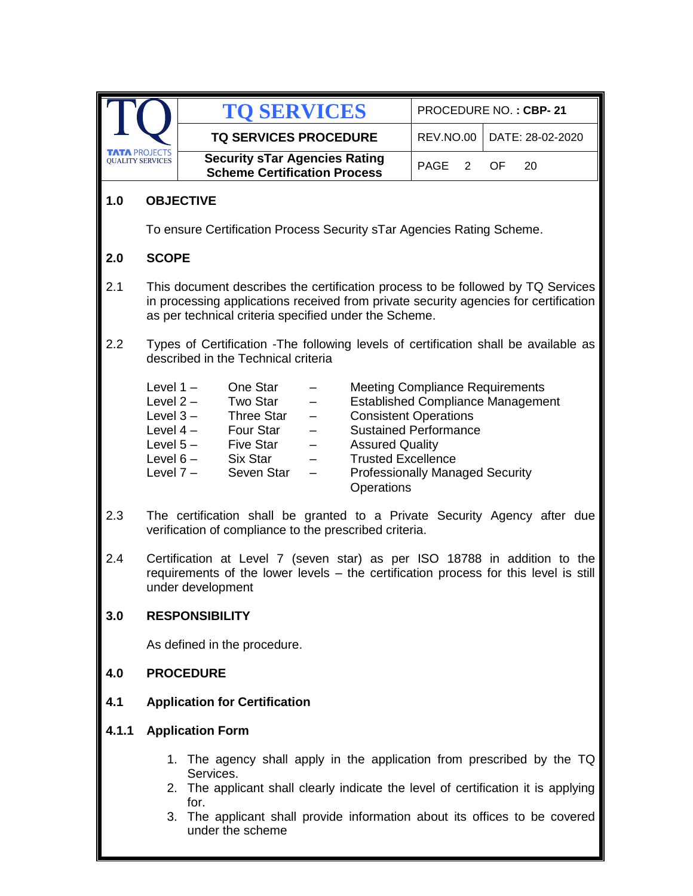|                         |                                                                                                                                                                                                                                                                                          | <b>TO SERVICES</b>                                                                                                                                                                                                                                                                                                                                                                                                                                                                                                                                  |                  | PROCEDURE NO.: CBP-21 |  |
|-------------------------|------------------------------------------------------------------------------------------------------------------------------------------------------------------------------------------------------------------------------------------------------------------------------------------|-----------------------------------------------------------------------------------------------------------------------------------------------------------------------------------------------------------------------------------------------------------------------------------------------------------------------------------------------------------------------------------------------------------------------------------------------------------------------------------------------------------------------------------------------------|------------------|-----------------------|--|
|                         |                                                                                                                                                                                                                                                                                          | <b>TQ SERVICES PROCEDURE</b>                                                                                                                                                                                                                                                                                                                                                                                                                                                                                                                        | <b>REV.NO.00</b> | DATE: 28-02-2020      |  |
| <b>QUALITY SERVICES</b> | <b>A PROJECTS</b>                                                                                                                                                                                                                                                                        | <b>Security sTar Agencies Rating</b><br><b>Scheme Certification Process</b>                                                                                                                                                                                                                                                                                                                                                                                                                                                                         | PAGE<br>2        | OF.<br>20             |  |
| 1.0                     | <b>OBJECTIVE</b>                                                                                                                                                                                                                                                                         |                                                                                                                                                                                                                                                                                                                                                                                                                                                                                                                                                     |                  |                       |  |
|                         |                                                                                                                                                                                                                                                                                          | To ensure Certification Process Security sTar Agencies Rating Scheme.                                                                                                                                                                                                                                                                                                                                                                                                                                                                               |                  |                       |  |
| 2.0                     | <b>SCOPE</b>                                                                                                                                                                                                                                                                             |                                                                                                                                                                                                                                                                                                                                                                                                                                                                                                                                                     |                  |                       |  |
| 2.1                     |                                                                                                                                                                                                                                                                                          | This document describes the certification process to be followed by TQ Services<br>in processing applications received from private security agencies for certification<br>as per technical criteria specified under the Scheme.                                                                                                                                                                                                                                                                                                                    |                  |                       |  |
| 2.2                     |                                                                                                                                                                                                                                                                                          | Types of Certification - The following levels of certification shall be available as<br>described in the Technical criteria                                                                                                                                                                                                                                                                                                                                                                                                                         |                  |                       |  |
|                         |                                                                                                                                                                                                                                                                                          | One Star<br>Level $1 -$<br><b>Meeting Compliance Requirements</b><br><b>Two Star</b><br><b>Established Compliance Management</b><br>Level $2 -$<br><b>Consistent Operations</b><br>Level $3-$<br><b>Three Star</b><br>Four Star<br><b>Sustained Performance</b><br>Level $4-$<br>$\qquad \qquad -$<br>Level $5-$<br>Five Star<br><b>Assured Quality</b><br>$\qquad \qquad -$<br>Six Star<br><b>Trusted Excellence</b><br>Level $6-$<br>Level $7-$<br>Seven Star<br><b>Professionally Managed Security</b><br>$\overline{\phantom{0}}$<br>Operations |                  |                       |  |
| 2.3                     | The certification shall be granted to a Private Security Agency after due<br>verification of compliance to the prescribed criteria.                                                                                                                                                      |                                                                                                                                                                                                                                                                                                                                                                                                                                                                                                                                                     |                  |                       |  |
| 2.4                     | Certification at Level 7 (seven star) as per ISO 18788 in addition to the<br>requirements of the lower levels - the certification process for this level is still<br>under development                                                                                                   |                                                                                                                                                                                                                                                                                                                                                                                                                                                                                                                                                     |                  |                       |  |
| 3.0                     | <b>RESPONSIBILITY</b>                                                                                                                                                                                                                                                                    |                                                                                                                                                                                                                                                                                                                                                                                                                                                                                                                                                     |                  |                       |  |
|                         |                                                                                                                                                                                                                                                                                          | As defined in the procedure.                                                                                                                                                                                                                                                                                                                                                                                                                                                                                                                        |                  |                       |  |
| 4.0                     | <b>PROCEDURE</b>                                                                                                                                                                                                                                                                         |                                                                                                                                                                                                                                                                                                                                                                                                                                                                                                                                                     |                  |                       |  |
| 4.1                     | <b>Application for Certification</b>                                                                                                                                                                                                                                                     |                                                                                                                                                                                                                                                                                                                                                                                                                                                                                                                                                     |                  |                       |  |
| 4.1.1                   | <b>Application Form</b>                                                                                                                                                                                                                                                                  |                                                                                                                                                                                                                                                                                                                                                                                                                                                                                                                                                     |                  |                       |  |
|                         | 1. The agency shall apply in the application from prescribed by the TQ<br>Services.<br>The applicant shall clearly indicate the level of certification it is applying<br>2.<br>for.<br>The applicant shall provide information about its offices to be covered<br>3.<br>under the scheme |                                                                                                                                                                                                                                                                                                                                                                                                                                                                                                                                                     |                  |                       |  |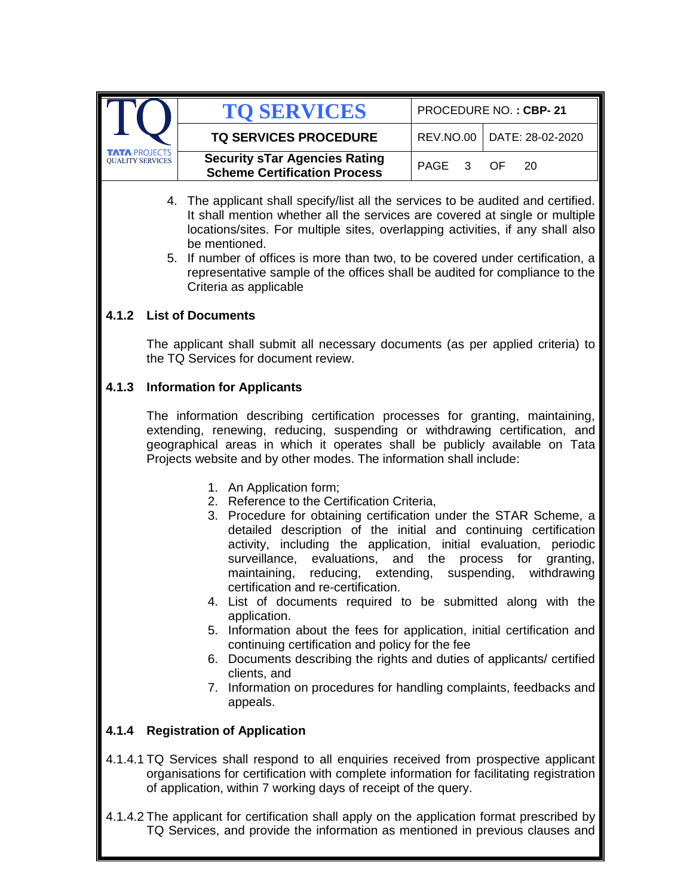|                                                 | <b>TO SERVICES</b>                                                          |              | PROCEDURE NO.: CBP-21        |
|-------------------------------------------------|-----------------------------------------------------------------------------|--------------|------------------------------|
|                                                 | <b>TQ SERVICES PROCEDURE</b>                                                |              | REV.NO.00   DATE: 28-02-2020 |
| <b>TATA PROJECTS</b><br><b>OUALITY SERVICES</b> | <b>Security sTar Agencies Rating</b><br><b>Scheme Certification Process</b> | PAGE 3 OF 20 |                              |
|                                                 |                                                                             |              |                              |

- 4. The applicant shall specify/list all the services to be audited and certified. It shall mention whether all the services are covered at single or multiple locations/sites. For multiple sites, overlapping activities, if any shall also be mentioned.
- 5. If number of offices is more than two, to be covered under certification, a representative sample of the offices shall be audited for compliance to the Criteria as applicable

### **4.1.2 List of Documents**

The applicant shall submit all necessary documents (as per applied criteria) to the TQ Services for document review.

## **4.1.3 Information for Applicants**

The information describing certification processes for granting, maintaining, extending, renewing, reducing, suspending or withdrawing certification, and geographical areas in which it operates shall be publicly available on Tata Projects website and by other modes. The information shall include:

- 1. An Application form;
- 2. Reference to the Certification Criteria,
- 3. Procedure for obtaining certification under the STAR Scheme, a detailed description of the initial and continuing certification activity, including the application, initial evaluation, periodic surveillance, evaluations, and the process for granting, maintaining, reducing, extending, suspending, withdrawing certification and re-certification.
- 4. List of documents required to be submitted along with the application.
- 5. Information about the fees for application, initial certification and continuing certification and policy for the fee
- 6. Documents describing the rights and duties of applicants/ certified clients, and
- 7. Information on procedures for handling complaints, feedbacks and appeals.

# **4.1.4 Registration of Application**

- 4.1.4.1 TQ Services shall respond to all enquiries received from prospective applicant organisations for certification with complete information for facilitating registration of application, within 7 working days of receipt of the query.
- 4.1.4.2 The applicant for certification shall apply on the application format prescribed by TQ Services, and provide the information as mentioned in previous clauses and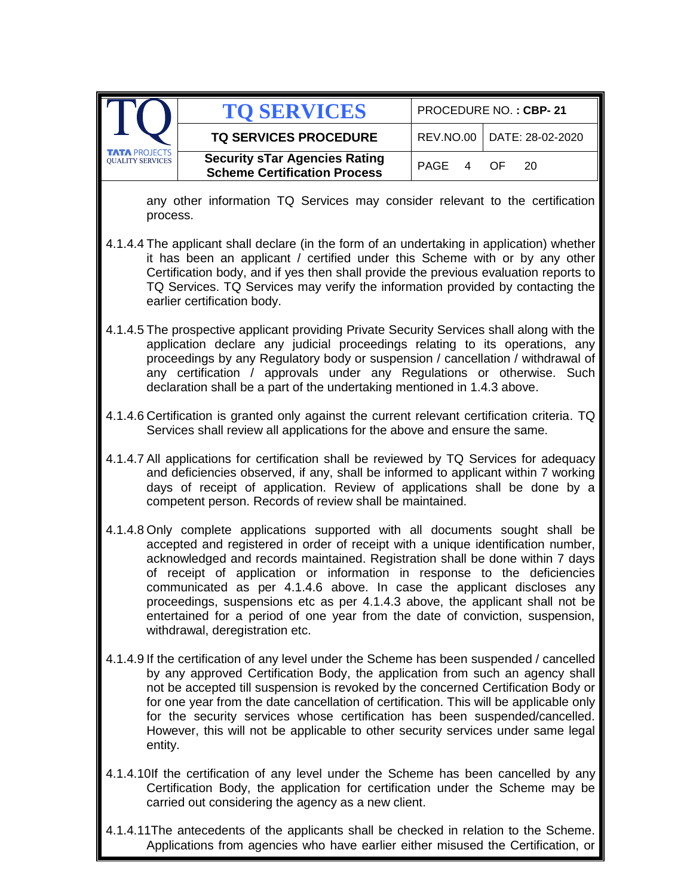|                                                                                                                                                                                                                                                                                                                                                                                                                                                                                                                                         | <b>TO SERVICES</b>                                                                                                                                                                                                                                                                                                                                                                                                                                                                                                                                                                                              | PROCEDURE NO.: CBP-21 |    |                  |  |
|-----------------------------------------------------------------------------------------------------------------------------------------------------------------------------------------------------------------------------------------------------------------------------------------------------------------------------------------------------------------------------------------------------------------------------------------------------------------------------------------------------------------------------------------|-----------------------------------------------------------------------------------------------------------------------------------------------------------------------------------------------------------------------------------------------------------------------------------------------------------------------------------------------------------------------------------------------------------------------------------------------------------------------------------------------------------------------------------------------------------------------------------------------------------------|-----------------------|----|------------------|--|
|                                                                                                                                                                                                                                                                                                                                                                                                                                                                                                                                         | <b>TQ SERVICES PROCEDURE</b>                                                                                                                                                                                                                                                                                                                                                                                                                                                                                                                                                                                    | <b>REV.NO.00</b>      |    | DATE: 28-02-2020 |  |
| <b>OUALITY SERVICES</b>                                                                                                                                                                                                                                                                                                                                                                                                                                                                                                                 | <b>Security sTar Agencies Rating</b><br><b>Scheme Certification Process</b>                                                                                                                                                                                                                                                                                                                                                                                                                                                                                                                                     | <b>PAGE</b><br>4      | OF | 20               |  |
| process.                                                                                                                                                                                                                                                                                                                                                                                                                                                                                                                                | any other information TQ Services may consider relevant to the certification                                                                                                                                                                                                                                                                                                                                                                                                                                                                                                                                    |                       |    |                  |  |
|                                                                                                                                                                                                                                                                                                                                                                                                                                                                                                                                         | 4.1.4.4 The applicant shall declare (in the form of an undertaking in application) whether<br>it has been an applicant / certified under this Scheme with or by any other<br>Certification body, and if yes then shall provide the previous evaluation reports to<br>TQ Services. TQ Services may verify the information provided by contacting the<br>earlier certification body.                                                                                                                                                                                                                              |                       |    |                  |  |
|                                                                                                                                                                                                                                                                                                                                                                                                                                                                                                                                         | 4.1.4.5 The prospective applicant providing Private Security Services shall along with the<br>application declare any judicial proceedings relating to its operations, any<br>proceedings by any Regulatory body or suspension / cancellation / withdrawal of<br>any certification / approvals under any Regulations or otherwise. Such<br>declaration shall be a part of the undertaking mentioned in 1.4.3 above.                                                                                                                                                                                             |                       |    |                  |  |
|                                                                                                                                                                                                                                                                                                                                                                                                                                                                                                                                         | 4.1.4.6 Certification is granted only against the current relevant certification criteria. TQ<br>Services shall review all applications for the above and ensure the same.                                                                                                                                                                                                                                                                                                                                                                                                                                      |                       |    |                  |  |
|                                                                                                                                                                                                                                                                                                                                                                                                                                                                                                                                         | 4.1.4.7 All applications for certification shall be reviewed by TQ Services for adequacy<br>and deficiencies observed, if any, shall be informed to applicant within 7 working<br>days of receipt of application. Review of applications shall be done by a<br>competent person. Records of review shall be maintained.                                                                                                                                                                                                                                                                                         |                       |    |                  |  |
|                                                                                                                                                                                                                                                                                                                                                                                                                                                                                                                                         | 4.1.4.8 Only complete applications supported with all documents sought shall be<br>accepted and registered in order of receipt with a unique identification number,<br>acknowledged and records maintained. Registration shall be done within 7 days<br>of receipt of application or information in response to the deficiencies<br>communicated as per 4.1.4.6 above. In case the applicant discloses any<br>proceedings, suspensions etc as per 4.1.4.3 above, the applicant shall not be<br>entertained for a period of one year from the date of conviction, suspension,<br>withdrawal, deregistration etc. |                       |    |                  |  |
| 4.1.4.9 If the certification of any level under the Scheme has been suspended / cancelled<br>by any approved Certification Body, the application from such an agency shall<br>not be accepted till suspension is revoked by the concerned Certification Body or<br>for one year from the date cancellation of certification. This will be applicable only<br>for the security services whose certification has been suspended/cancelled.<br>However, this will not be applicable to other security services under same legal<br>entity. |                                                                                                                                                                                                                                                                                                                                                                                                                                                                                                                                                                                                                 |                       |    |                  |  |
|                                                                                                                                                                                                                                                                                                                                                                                                                                                                                                                                         | 4.1.4.10If the certification of any level under the Scheme has been cancelled by any<br>Certification Body, the application for certification under the Scheme may be<br>carried out considering the agency as a new client.                                                                                                                                                                                                                                                                                                                                                                                    |                       |    |                  |  |
|                                                                                                                                                                                                                                                                                                                                                                                                                                                                                                                                         | 4.1.4.11The antecedents of the applicants shall be checked in relation to the Scheme.<br>Applications from agencies who have earlier either misused the Certification, or                                                                                                                                                                                                                                                                                                                                                                                                                                       |                       |    |                  |  |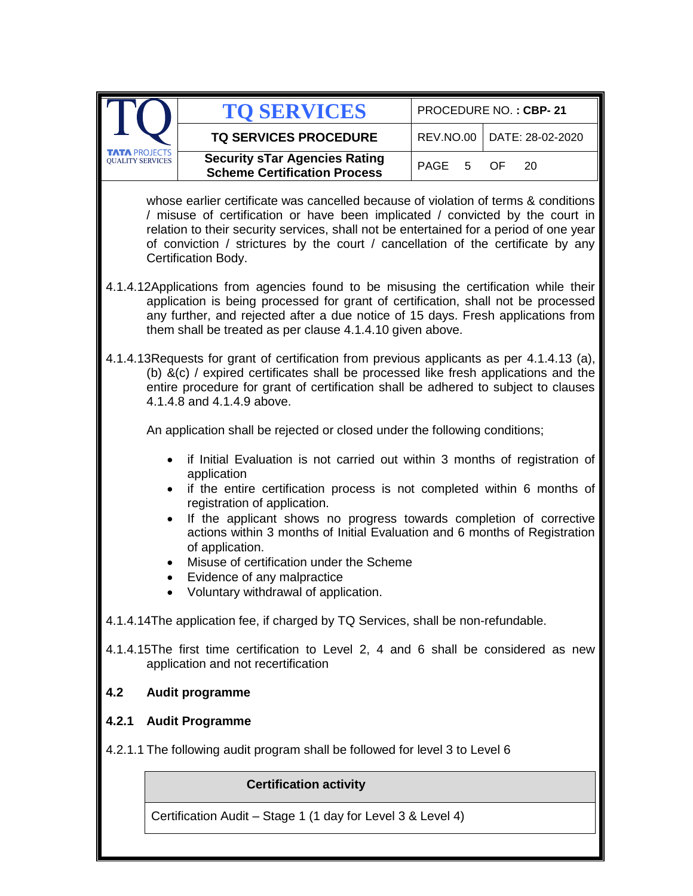|                                                                                                                                                                                                                                                                                                                                                                          | <b>TO SERVICES</b>                                                                                                                                                                                                                                                                                                          |           | PROCEDURE NO.: CBP-21 |  |  |
|--------------------------------------------------------------------------------------------------------------------------------------------------------------------------------------------------------------------------------------------------------------------------------------------------------------------------------------------------------------------------|-----------------------------------------------------------------------------------------------------------------------------------------------------------------------------------------------------------------------------------------------------------------------------------------------------------------------------|-----------|-----------------------|--|--|
|                                                                                                                                                                                                                                                                                                                                                                          | <b>TQ SERVICES PROCEDURE</b>                                                                                                                                                                                                                                                                                                | REV.NO.00 | DATE: 28-02-2020      |  |  |
| <b>TA PROJECTS</b><br><b>OUALITY SERVICES</b>                                                                                                                                                                                                                                                                                                                            | <b>Security sTar Agencies Rating</b><br>PAGE<br>5<br>OF<br>20<br><b>Scheme Certification Process</b>                                                                                                                                                                                                                        |           |                       |  |  |
| whose earlier certificate was cancelled because of violation of terms & conditions<br>/ misuse of certification or have been implicated / convicted by the court in<br>relation to their security services, shall not be entertained for a period of one year<br>of conviction / strictures by the court / cancellation of the certificate by any<br>Certification Body. |                                                                                                                                                                                                                                                                                                                             |           |                       |  |  |
|                                                                                                                                                                                                                                                                                                                                                                          | 4.1.4.12Applications from agencies found to be misusing the certification while their<br>application is being processed for grant of certification, shall not be processed<br>any further, and rejected after a due notice of 15 days. Fresh applications from<br>them shall be treated as per clause 4.1.4.10 given above. |           |                       |  |  |
|                                                                                                                                                                                                                                                                                                                                                                          | 4.1.4.13 Requests for grant of certification from previous applicants as per 4.1.4.13 (a),<br>(b) &(c) / expired certificates shall be processed like fresh applications and the<br>entire procedure for grant of certification shall be adhered to subject to clauses<br>4.1.4.8 and 4.1.4.9 above.                        |           |                       |  |  |
|                                                                                                                                                                                                                                                                                                                                                                          | An application shall be rejected or closed under the following conditions;                                                                                                                                                                                                                                                  |           |                       |  |  |
|                                                                                                                                                                                                                                                                                                                                                                          | if Initial Evaluation is not carried out within 3 months of registration of<br>application<br>if the entire certification process is not completed within 6 months of<br>registration of application.                                                                                                                       |           |                       |  |  |
| $\bullet$<br>٠                                                                                                                                                                                                                                                                                                                                                           | If the applicant shows no progress towards completion of corrective<br>actions within 3 months of Initial Evaluation and 6 months of Registration<br>of application.<br>Misuse of certification under the Scheme<br>Evidence of any malpractice                                                                             |           |                       |  |  |
|                                                                                                                                                                                                                                                                                                                                                                          | Voluntary withdrawal of application.                                                                                                                                                                                                                                                                                        |           |                       |  |  |
|                                                                                                                                                                                                                                                                                                                                                                          | 4.1.4.14The application fee, if charged by TQ Services, shall be non-refundable.                                                                                                                                                                                                                                            |           |                       |  |  |
|                                                                                                                                                                                                                                                                                                                                                                          | 4.1.4.15The first time certification to Level 2, 4 and 6 shall be considered as new<br>application and not recertification                                                                                                                                                                                                  |           |                       |  |  |
| 4.2                                                                                                                                                                                                                                                                                                                                                                      | Audit programme                                                                                                                                                                                                                                                                                                             |           |                       |  |  |
| 4.2.1                                                                                                                                                                                                                                                                                                                                                                    | <b>Audit Programme</b>                                                                                                                                                                                                                                                                                                      |           |                       |  |  |
| 4.2.1.1 The following audit program shall be followed for level 3 to Level 6                                                                                                                                                                                                                                                                                             |                                                                                                                                                                                                                                                                                                                             |           |                       |  |  |
|                                                                                                                                                                                                                                                                                                                                                                          | <b>Certification activity</b>                                                                                                                                                                                                                                                                                               |           |                       |  |  |
|                                                                                                                                                                                                                                                                                                                                                                          | Certification Audit – Stage 1 (1 day for Level 3 & Level 4)                                                                                                                                                                                                                                                                 |           |                       |  |  |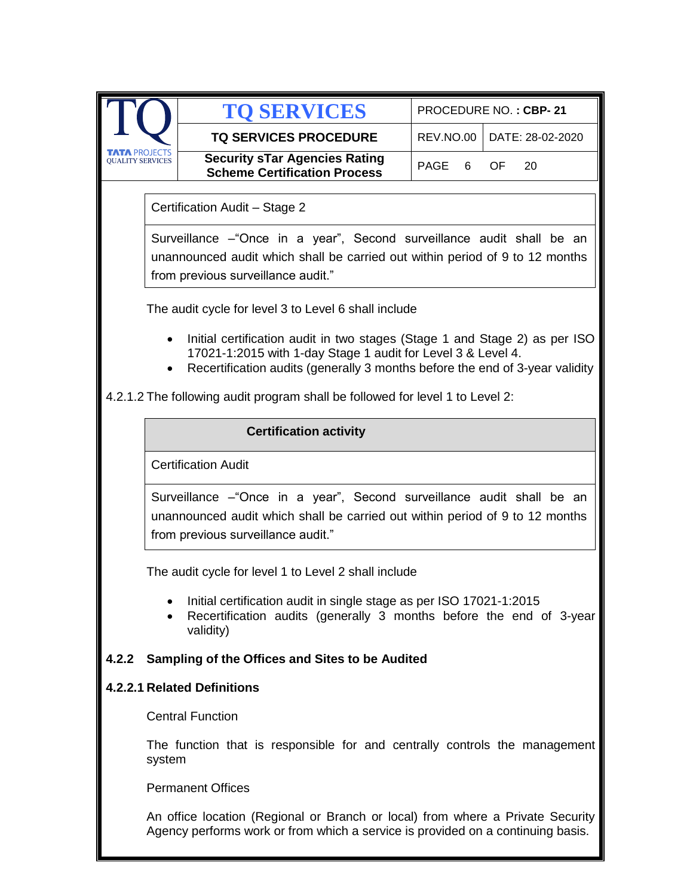|                         |                                                                                                                                                                                                                                                                                                             | <b>TO SERVICES</b>                                                                                                                                                                           |            | PROCEDURE NO.: CBP-21 |  |  |
|-------------------------|-------------------------------------------------------------------------------------------------------------------------------------------------------------------------------------------------------------------------------------------------------------------------------------------------------------|----------------------------------------------------------------------------------------------------------------------------------------------------------------------------------------------|------------|-----------------------|--|--|
|                         |                                                                                                                                                                                                                                                                                                             | <b>TQ SERVICES PROCEDURE</b>                                                                                                                                                                 | REV.NO.00  | DATE: 28-02-2020      |  |  |
| <b>QUALITY SERVICE:</b> |                                                                                                                                                                                                                                                                                                             | <b>Security sTar Agencies Rating</b><br><b>Scheme Certification Process</b>                                                                                                                  | PAGE<br>6. | OF.<br>20             |  |  |
|                         | Certification Audit - Stage 2                                                                                                                                                                                                                                                                               |                                                                                                                                                                                              |            |                       |  |  |
|                         | Surveillance – "Once in a year", Second surveillance audit shall be an<br>unannounced audit which shall be carried out within period of 9 to 12 months<br>from previous surveillance audit."                                                                                                                |                                                                                                                                                                                              |            |                       |  |  |
|                         |                                                                                                                                                                                                                                                                                                             | The audit cycle for level 3 to Level 6 shall include                                                                                                                                         |            |                       |  |  |
|                         | Initial certification audit in two stages (Stage 1 and Stage 2) as per ISO<br>17021-1:2015 with 1-day Stage 1 audit for Level 3 & Level 4.<br>Recertification audits (generally 3 months before the end of 3-year validity<br>4.2.1.2 The following audit program shall be followed for level 1 to Level 2: |                                                                                                                                                                                              |            |                       |  |  |
|                         |                                                                                                                                                                                                                                                                                                             | <b>Certification activity</b>                                                                                                                                                                |            |                       |  |  |
|                         |                                                                                                                                                                                                                                                                                                             |                                                                                                                                                                                              |            |                       |  |  |
|                         |                                                                                                                                                                                                                                                                                                             | <b>Certification Audit</b>                                                                                                                                                                   |            |                       |  |  |
|                         |                                                                                                                                                                                                                                                                                                             | Surveillance – "Once in a year", Second surveillance audit shall be an<br>unannounced audit which shall be carried out within period of 9 to 12 months<br>from previous surveillance audit." |            |                       |  |  |
|                         |                                                                                                                                                                                                                                                                                                             | The audit cycle for level 1 to Level 2 shall include                                                                                                                                         |            |                       |  |  |
|                         | Initial certification audit in single stage as per ISO 17021-1:2015<br>Recertification audits (generally 3 months before the end of 3-year<br>validity)                                                                                                                                                     |                                                                                                                                                                                              |            |                       |  |  |
| 4.2.2                   |                                                                                                                                                                                                                                                                                                             | Sampling of the Offices and Sites to be Audited                                                                                                                                              |            |                       |  |  |
|                         |                                                                                                                                                                                                                                                                                                             | 4.2.2.1 Related Definitions                                                                                                                                                                  |            |                       |  |  |
|                         |                                                                                                                                                                                                                                                                                                             | <b>Central Function</b>                                                                                                                                                                      |            |                       |  |  |
|                         | The function that is responsible for and centrally controls the management<br>system                                                                                                                                                                                                                        |                                                                                                                                                                                              |            |                       |  |  |
|                         | <b>Permanent Offices</b>                                                                                                                                                                                                                                                                                    |                                                                                                                                                                                              |            |                       |  |  |
|                         | An office location (Regional or Branch or local) from where a Private Security<br>Agency performs work or from which a service is provided on a continuing basis.                                                                                                                                           |                                                                                                                                                                                              |            |                       |  |  |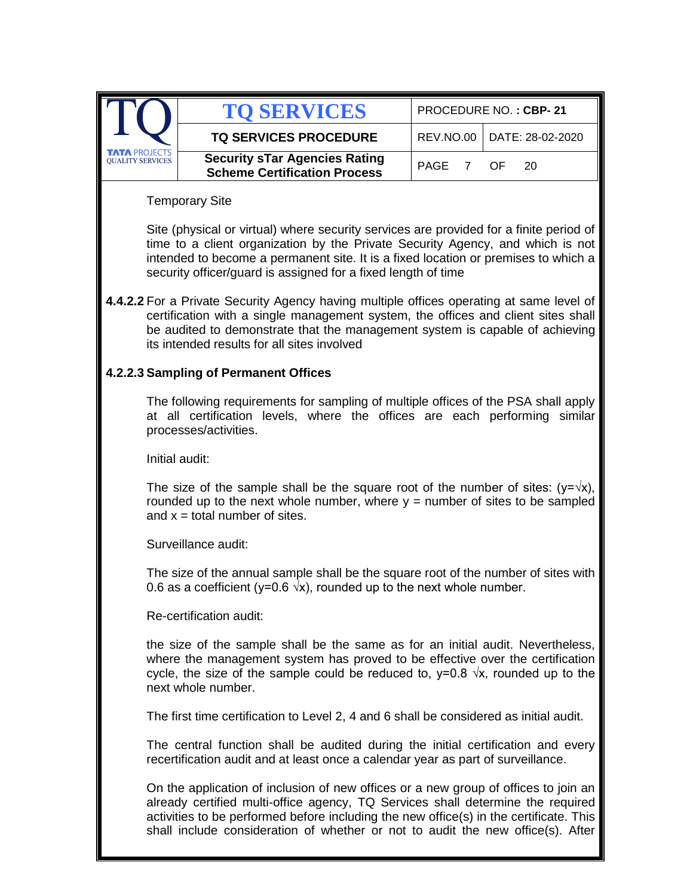|                                                 | <b>TO SERVICES</b>                                                          | PROCEDURE NO.: CBP-21        |  |  |
|-------------------------------------------------|-----------------------------------------------------------------------------|------------------------------|--|--|
|                                                 | <b>TQ SERVICES PROCEDURE</b>                                                | REV.NO.00   DATE: 28-02-2020 |  |  |
| <b>TATA PROJECTS</b><br><b>OUALITY SERVICES</b> | <b>Security sTar Agencies Rating</b><br><b>Scheme Certification Process</b> | PAGE 7 OF 20                 |  |  |

Temporary Site

Site (physical or virtual) where security services are provided for a finite period of time to a client organization by the Private Security Agency, and which is not intended to become a permanent site. It is a fixed location or premises to which a security officer/quard is assigned for a fixed length of time

**4.4.2.2** For a Private Security Agency having multiple offices operating at same level of certification with a single management system, the offices and client sites shall be audited to demonstrate that the management system is capable of achieving its intended results for all sites involved

### **4.2.2.3 Sampling of Permanent Offices**

The following requirements for sampling of multiple offices of the PSA shall apply at all certification levels, where the offices are each performing similar processes/activities.

Initial audit:

The size of the sample shall be the square root of the number of sites:  $(y=\sqrt{x})$ , rounded up to the next whole number, where  $y =$  number of sites to be sampled and  $x =$  total number of sites.

Surveillance audit:

The size of the annual sample shall be the square root of the number of sites with 0.6 as a coefficient (y=0.6  $\sqrt{x}$ ), rounded up to the next whole number.

Re-certification audit:

the size of the sample shall be the same as for an initial audit. Nevertheless, where the management system has proved to be effective over the certification cycle, the size of the sample could be reduced to,  $y=0.8 \sqrt{x}$ , rounded up to the next whole number.

The first time certification to Level 2, 4 and 6 shall be considered as initial audit.

The central function shall be audited during the initial certification and every recertification audit and at least once a calendar year as part of surveillance.

On the application of inclusion of new offices or a new group of offices to join an already certified multi-office agency, TQ Services shall determine the required activities to be performed before including the new office(s) in the certificate. This shall include consideration of whether or not to audit the new office(s). After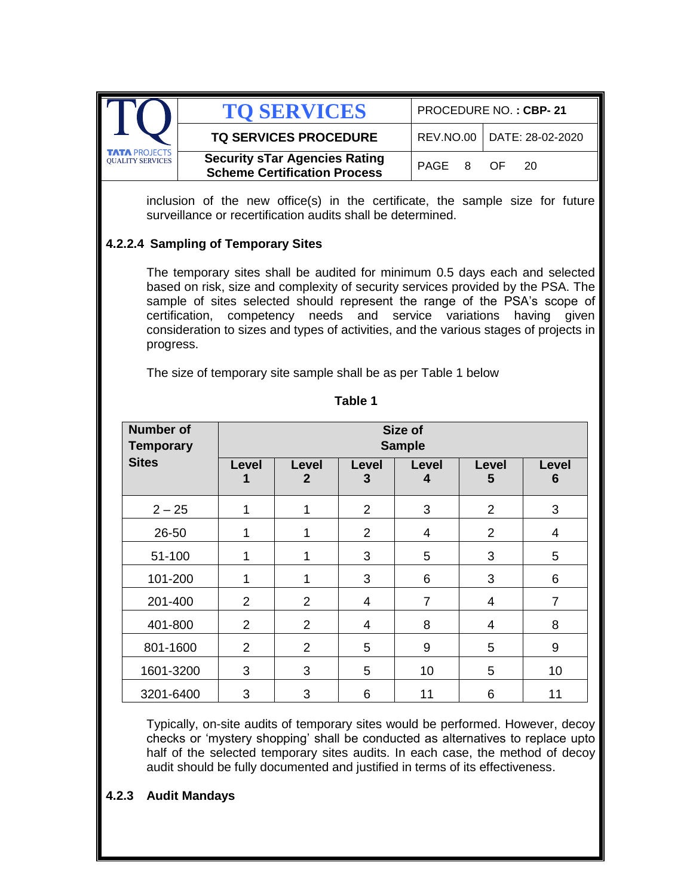|                                                 | <b>TO SERVICES</b>                                                          | PROCEDURE NO.: CBP-21 |                              |  |
|-------------------------------------------------|-----------------------------------------------------------------------------|-----------------------|------------------------------|--|
|                                                 | <b>TQ SERVICES PROCEDURE</b>                                                |                       | REV.NO.00   DATE: 28-02-2020 |  |
| <b>TATA PROJECTS</b><br><b>QUALITY SERVICES</b> | <b>Security sTar Agencies Rating</b><br><b>Scheme Certification Process</b> | PAGE 8 OF             | - 20                         |  |

inclusion of the new office(s) in the certificate, the sample size for future surveillance or recertification audits shall be determined.

### **4.2.2.4 Sampling of Temporary Sites**

The temporary sites shall be audited for minimum 0.5 days each and selected based on risk, size and complexity of security services provided by the PSA. The sample of sites selected should represent the range of the PSA's scope of certification, competency needs and service variations having given consideration to sizes and types of activities, and the various stages of projects in progress.

The size of temporary site sample shall be as per Table 1 below

| <b>Number of</b><br><b>Temporary</b> |                |                       |                | Size of<br><b>Sample</b> |                |                |
|--------------------------------------|----------------|-----------------------|----------------|--------------------------|----------------|----------------|
| <b>Sites</b>                         | Level          | Level<br>$\mathbf{2}$ | Level<br>3     | Level<br>4               | Level<br>5     | Level<br>6     |
| $2 - 25$                             | 1              | 1                     | $\overline{2}$ | 3                        | $\overline{2}$ | 3              |
| 26-50                                | 1              | 1                     | $\overline{2}$ | 4                        | $\overline{2}$ | $\overline{4}$ |
| 51-100                               | 1              | 1                     | 3              | 5                        | 3              | 5              |
| 101-200                              | 1              | 1                     | 3              | 6                        | 3              | 6              |
| 201-400                              | $\overline{2}$ | 2                     | 4              | $\overline{7}$           | 4              | $\overline{7}$ |
| 401-800                              | 2              | 2                     | 4              | 8                        | 4              | 8              |
| 801-1600                             | $\overline{2}$ | $\overline{2}$        | 5              | 9                        | 5              | 9              |
| 1601-3200                            | 3              | 3                     | 5              | 10                       | 5              | 10             |
| 3201-6400                            | 3              | 3                     | 6              | 11                       | 6              | 11             |

**Table 1**

Typically, on-site audits of temporary sites would be performed. However, decoy checks or 'mystery shopping' shall be conducted as alternatives to replace upto half of the selected temporary sites audits. In each case, the method of decoy audit should be fully documented and justified in terms of its effectiveness.

#### **4.2.3 Audit Mandays**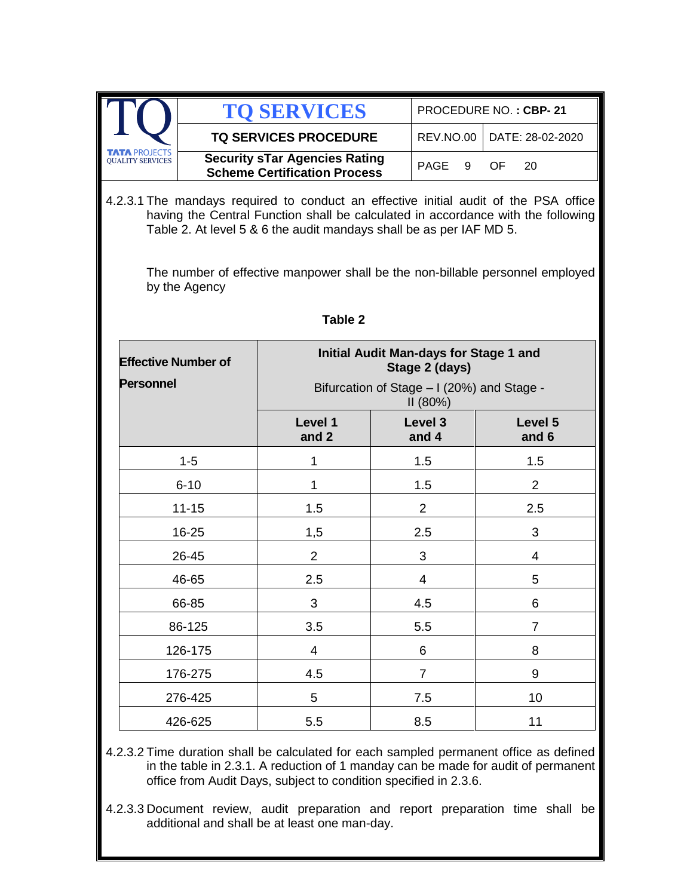|                                                 | <b>TO SERVICES</b>                                                          | PROCEDURE NO.: CBP-21 |                              |  |
|-------------------------------------------------|-----------------------------------------------------------------------------|-----------------------|------------------------------|--|
|                                                 | <b>TQ SERVICES PROCEDURE</b>                                                |                       | REV.NO.00   DATE: 28-02-2020 |  |
| <b>TATA PROJECTS</b><br><b>OUALITY SERVICES</b> | <b>Security sTar Agencies Rating</b><br><b>Scheme Certification Process</b> | PAGE 9 OF             | - 20                         |  |

4.2.3.1 The mandays required to conduct an effective initial audit of the PSA office having the Central Function shall be calculated in accordance with the following Table 2. At level 5 & 6 the audit mandays shall be as per IAF MD 5.

The number of effective manpower shall be the non-billable personnel employed by the Agency

| <b>Effective Number of</b><br><b>Personnel</b> | Initial Audit Man-days for Stage 1 and<br>Stage 2 (days)<br>Bifurcation of Stage - I (20%) and Stage -<br>II (80%) |                  |                          |
|------------------------------------------------|--------------------------------------------------------------------------------------------------------------------|------------------|--------------------------|
|                                                | Level 1<br>and 2                                                                                                   | Level 3<br>and 4 | Level 5<br>and 6         |
| $1 - 5$                                        | 1                                                                                                                  | 1.5              | 1.5                      |
| $6 - 10$                                       | 1                                                                                                                  | 1.5              | $\overline{2}$           |
| $11 - 15$                                      | 1.5                                                                                                                | $\overline{2}$   | 2.5                      |
| 16-25                                          | 1,5                                                                                                                | 2.5              | 3                        |
| 26-45                                          | $\overline{2}$                                                                                                     | 3                | $\overline{\mathcal{A}}$ |
| 46-65                                          | 2.5                                                                                                                | 4                | 5                        |
| 66-85                                          | 3                                                                                                                  | 4.5              | 6                        |
| 86-125                                         | 3.5                                                                                                                | 5.5              | $\overline{7}$           |
| 126-175                                        | 4                                                                                                                  | 6                | 8                        |
| 176-275                                        | 4.5                                                                                                                | $\overline{7}$   | 9                        |
| 276-425                                        | 5                                                                                                                  | 7.5              | 10                       |
| 426-625                                        | 5.5                                                                                                                | 8.5              | 11                       |

**Table 2**

4.2.3.2 Time duration shall be calculated for each sampled permanent office as defined in the table in 2.3.1. A reduction of 1 manday can be made for audit of permanent office from Audit Days, subject to condition specified in 2.3.6.

4.2.3.3 Document review, audit preparation and report preparation time shall be additional and shall be at least one man-day.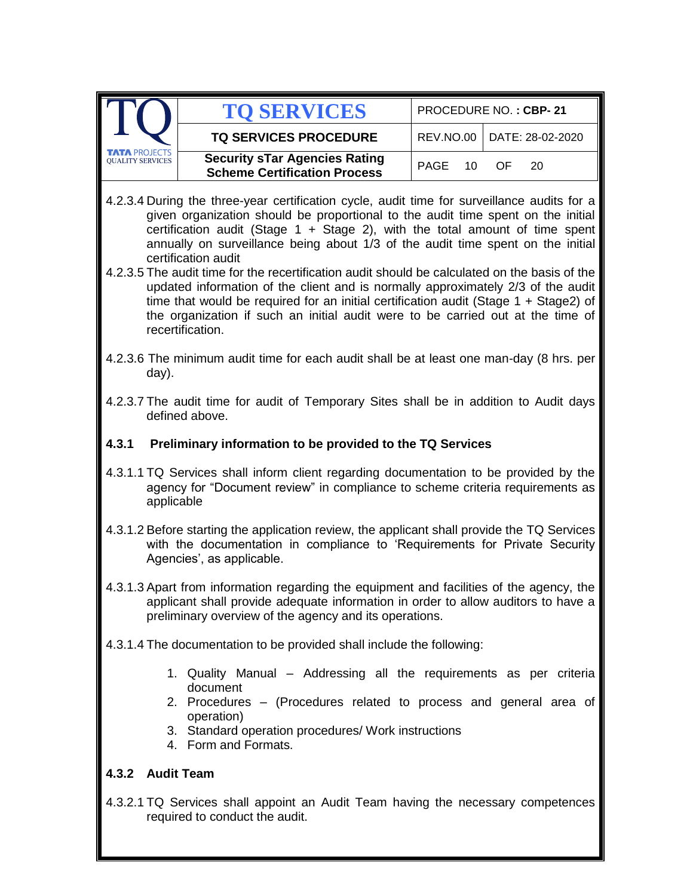|                                                                                                                                                                                                                                                                                                                                                                                                                                                                                                                                                                                                                                                                                                                                                                    | <b>TO SERVICES</b>                                                                                                                                                                                                                      | PROCEDURE NO.: CBP-21                |  |  |  |
|--------------------------------------------------------------------------------------------------------------------------------------------------------------------------------------------------------------------------------------------------------------------------------------------------------------------------------------------------------------------------------------------------------------------------------------------------------------------------------------------------------------------------------------------------------------------------------------------------------------------------------------------------------------------------------------------------------------------------------------------------------------------|-----------------------------------------------------------------------------------------------------------------------------------------------------------------------------------------------------------------------------------------|--------------------------------------|--|--|--|
|                                                                                                                                                                                                                                                                                                                                                                                                                                                                                                                                                                                                                                                                                                                                                                    | <b>TQ SERVICES PROCEDURE</b>                                                                                                                                                                                                            | REV.NO.00<br>DATE: 28-02-2020        |  |  |  |
| <b>TA PROJECTS</b><br><b>QUALITY SERVICES</b>                                                                                                                                                                                                                                                                                                                                                                                                                                                                                                                                                                                                                                                                                                                      | <b>Security sTar Agencies Rating</b><br><b>Scheme Certification Process</b>                                                                                                                                                             | <b>PAGE</b><br>10<br><b>OF</b><br>20 |  |  |  |
| 4.2.3.4 During the three-year certification cycle, audit time for surveillance audits for a<br>given organization should be proportional to the audit time spent on the initial<br>certification audit (Stage $1 +$ Stage 2), with the total amount of time spent<br>annually on surveillance being about 1/3 of the audit time spent on the initial<br>certification audit<br>4.2.3.5 The audit time for the recertification audit should be calculated on the basis of the<br>updated information of the client and is normally approximately 2/3 of the audit<br>time that would be required for an initial certification audit (Stage $1 + Stage2$ ) of<br>the organization if such an initial audit were to be carried out at the time of<br>recertification. |                                                                                                                                                                                                                                         |                                      |  |  |  |
| day).                                                                                                                                                                                                                                                                                                                                                                                                                                                                                                                                                                                                                                                                                                                                                              | 4.2.3.6 The minimum audit time for each audit shall be at least one man-day (8 hrs. per                                                                                                                                                 |                                      |  |  |  |
|                                                                                                                                                                                                                                                                                                                                                                                                                                                                                                                                                                                                                                                                                                                                                                    | 4.2.3.7 The audit time for audit of Temporary Sites shall be in addition to Audit days<br>defined above.                                                                                                                                |                                      |  |  |  |
| 4.3.1                                                                                                                                                                                                                                                                                                                                                                                                                                                                                                                                                                                                                                                                                                                                                              | Preliminary information to be provided to the TQ Services                                                                                                                                                                               |                                      |  |  |  |
| applicable                                                                                                                                                                                                                                                                                                                                                                                                                                                                                                                                                                                                                                                                                                                                                         | 4.3.1.1 TQ Services shall inform client regarding documentation to be provided by the<br>agency for "Document review" in compliance to scheme criteria requirements as                                                                  |                                      |  |  |  |
|                                                                                                                                                                                                                                                                                                                                                                                                                                                                                                                                                                                                                                                                                                                                                                    | 4.3.1.2 Before starting the application review, the applicant shall provide the TQ Services<br>with the documentation in compliance to 'Requirements for Private Security<br>Agencies', as applicable.                                  |                                      |  |  |  |
|                                                                                                                                                                                                                                                                                                                                                                                                                                                                                                                                                                                                                                                                                                                                                                    | 4.3.1.3 Apart from information regarding the equipment and facilities of the agency, the<br>applicant shall provide adequate information in order to allow auditors to have a<br>preliminary overview of the agency and its operations. |                                      |  |  |  |
|                                                                                                                                                                                                                                                                                                                                                                                                                                                                                                                                                                                                                                                                                                                                                                    | 4.3.1.4 The documentation to be provided shall include the following:                                                                                                                                                                   |                                      |  |  |  |
| 1. Quality Manual – Addressing all the requirements as per criteria<br>document<br>2. Procedures – (Procedures related to process and general area of<br>operation)<br>3. Standard operation procedures/ Work instructions<br>4. Form and Formats.                                                                                                                                                                                                                                                                                                                                                                                                                                                                                                                 |                                                                                                                                                                                                                                         |                                      |  |  |  |
| 4.3.2 Audit Team                                                                                                                                                                                                                                                                                                                                                                                                                                                                                                                                                                                                                                                                                                                                                   |                                                                                                                                                                                                                                         |                                      |  |  |  |
|                                                                                                                                                                                                                                                                                                                                                                                                                                                                                                                                                                                                                                                                                                                                                                    | 4.3.2.1 TQ Services shall appoint an Audit Team having the necessary competences<br>required to conduct the audit.                                                                                                                      |                                      |  |  |  |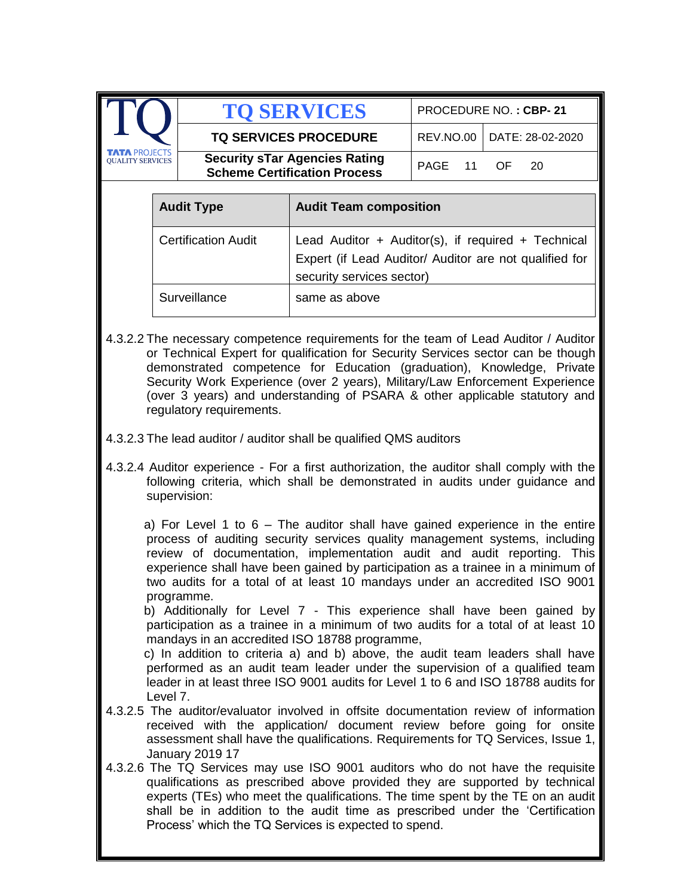|                                                                                                                                                                          |                   | <b>TO SERVICES</b>                                                          |                                                                                                                                           | PROCEDURE NO.: CBP-21 |                  |  |
|--------------------------------------------------------------------------------------------------------------------------------------------------------------------------|-------------------|-----------------------------------------------------------------------------|-------------------------------------------------------------------------------------------------------------------------------------------|-----------------------|------------------|--|
|                                                                                                                                                                          |                   |                                                                             | <b>TQ SERVICES PROCEDURE</b>                                                                                                              |                       | DATE: 28-02-2020 |  |
| <b>OUALITY SERVICES</b>                                                                                                                                                  |                   | <b>Security sTar Agencies Rating</b><br><b>Scheme Certification Process</b> |                                                                                                                                           | PAGE<br>11            | OF.<br>20        |  |
|                                                                                                                                                                          |                   |                                                                             |                                                                                                                                           |                       |                  |  |
|                                                                                                                                                                          | <b>Audit Type</b> |                                                                             | <b>Audit Team composition</b>                                                                                                             |                       |                  |  |
|                                                                                                                                                                          |                   | <b>Certification Audit</b>                                                  | Lead Auditor + Auditor(s), if required + Technical<br>Expert (if Lead Auditor/ Auditor are not qualified for<br>security services sector) |                       |                  |  |
|                                                                                                                                                                          | Surveillance      |                                                                             | same as above                                                                                                                             |                       |                  |  |
| 4.3.2.2 The necessary competence requirements for the team of Lead Auditor / Auditor<br>or Technical Expert for qualification for Security Services sector can be though |                   |                                                                             |                                                                                                                                           |                       |                  |  |

- or Technical Expert for qualification for Security Services sector can be though demonstrated competence for Education (graduation), Knowledge, Private Security Work Experience (over 2 years), Military/Law Enforcement Experience (over 3 years) and understanding of PSARA & other applicable statutory and regulatory requirements.
- 4.3.2.3 The lead auditor / auditor shall be qualified QMS auditors
- 4.3.2.4 Auditor experience For a first authorization, the auditor shall comply with the following criteria, which shall be demonstrated in audits under guidance and supervision:

a) For Level 1 to  $6 -$  The auditor shall have gained experience in the entire process of auditing security services quality management systems, including review of documentation, implementation audit and audit reporting. This experience shall have been gained by participation as a trainee in a minimum of two audits for a total of at least 10 mandays under an accredited ISO 9001 programme.

 b) Additionally for Level 7 - This experience shall have been gained by participation as a trainee in a minimum of two audits for a total of at least 10 mandays in an accredited ISO 18788 programme,

 c) In addition to criteria a) and b) above, the audit team leaders shall have performed as an audit team leader under the supervision of a qualified team leader in at least three ISO 9001 audits for Level 1 to 6 and ISO 18788 audits for Level 7.

- 4.3.2.5 The auditor/evaluator involved in offsite documentation review of information received with the application/ document review before going for onsite assessment shall have the qualifications. Requirements for TQ Services, Issue 1, January 2019 17
- 4.3.2.6 The TQ Services may use ISO 9001 auditors who do not have the requisite qualifications as prescribed above provided they are supported by technical experts (TEs) who meet the qualifications. The time spent by the TE on an audit shall be in addition to the audit time as prescribed under the 'Certification Process' which the TQ Services is expected to spend.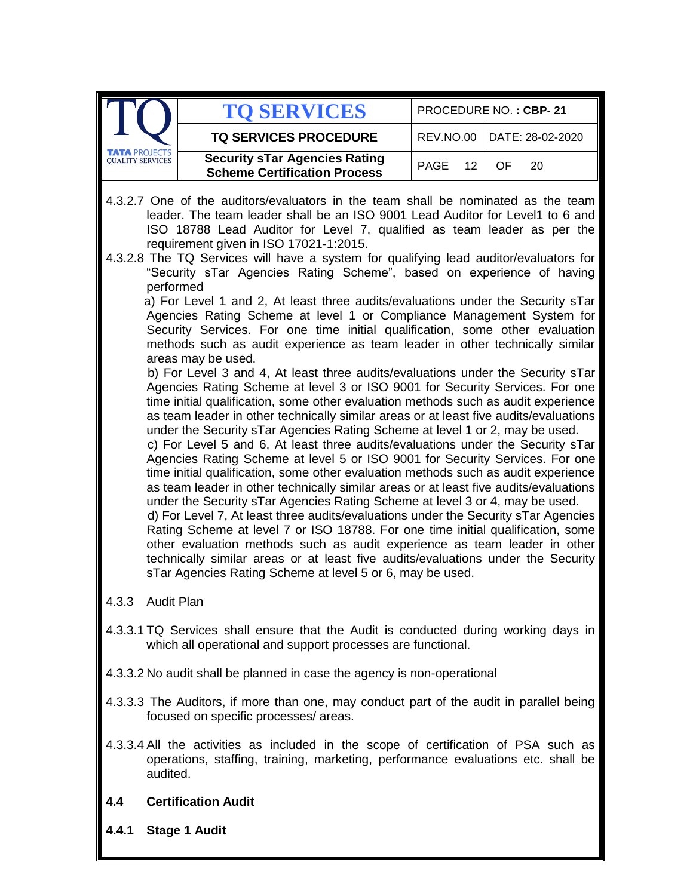|                                               | <b>TO SERVICES</b>                                                                                                                                                                                                                                                                                                                                                                                                                                                                                                                                                                                                                                                                                                                                                                                                                                                                                                                                                                                                                                                                                                                                                                                                                                                                                                                                                                                                                                                                                                                                                                                                                                                                                                                                                                                                                                                                                                                                                                                                                                                                                  |                   | PROCEDURE NO.: CBP-21 |
|-----------------------------------------------|-----------------------------------------------------------------------------------------------------------------------------------------------------------------------------------------------------------------------------------------------------------------------------------------------------------------------------------------------------------------------------------------------------------------------------------------------------------------------------------------------------------------------------------------------------------------------------------------------------------------------------------------------------------------------------------------------------------------------------------------------------------------------------------------------------------------------------------------------------------------------------------------------------------------------------------------------------------------------------------------------------------------------------------------------------------------------------------------------------------------------------------------------------------------------------------------------------------------------------------------------------------------------------------------------------------------------------------------------------------------------------------------------------------------------------------------------------------------------------------------------------------------------------------------------------------------------------------------------------------------------------------------------------------------------------------------------------------------------------------------------------------------------------------------------------------------------------------------------------------------------------------------------------------------------------------------------------------------------------------------------------------------------------------------------------------------------------------------------------|-------------------|-----------------------|
|                                               | <b>TQ SERVICES PROCEDURE</b>                                                                                                                                                                                                                                                                                                                                                                                                                                                                                                                                                                                                                                                                                                                                                                                                                                                                                                                                                                                                                                                                                                                                                                                                                                                                                                                                                                                                                                                                                                                                                                                                                                                                                                                                                                                                                                                                                                                                                                                                                                                                        | <b>REV.NO.00</b>  | DATE: 28-02-2020      |
| <b>TA PROJECTS</b><br><b>QUALITY SERVICES</b> | <b>Security sTar Agencies Rating</b><br><b>Scheme Certification Process</b>                                                                                                                                                                                                                                                                                                                                                                                                                                                                                                                                                                                                                                                                                                                                                                                                                                                                                                                                                                                                                                                                                                                                                                                                                                                                                                                                                                                                                                                                                                                                                                                                                                                                                                                                                                                                                                                                                                                                                                                                                         | <b>PAGE</b><br>12 | OF<br>20              |
|                                               | 4.3.2.7 One of the auditors/evaluators in the team shall be nominated as the team<br>leader. The team leader shall be an ISO 9001 Lead Auditor for Level1 to 6 and<br>ISO 18788 Lead Auditor for Level 7, qualified as team leader as per the<br>requirement given in ISO 17021-1:2015.<br>4.3.2.8 The TQ Services will have a system for qualifying lead auditor/evaluators for<br>"Security sTar Agencies Rating Scheme", based on experience of having<br>performed<br>a) For Level 1 and 2, At least three audits/evaluations under the Security sTar<br>Agencies Rating Scheme at level 1 or Compliance Management System for<br>Security Services. For one time initial qualification, some other evaluation<br>methods such as audit experience as team leader in other technically similar<br>areas may be used.<br>b) For Level 3 and 4, At least three audits/evaluations under the Security sTar<br>Agencies Rating Scheme at level 3 or ISO 9001 for Security Services. For one<br>time initial qualification, some other evaluation methods such as audit experience<br>as team leader in other technically similar areas or at least five audits/evaluations<br>under the Security sTar Agencies Rating Scheme at level 1 or 2, may be used.<br>c) For Level 5 and 6, At least three audits/evaluations under the Security sTar<br>Agencies Rating Scheme at level 5 or ISO 9001 for Security Services. For one<br>time initial qualification, some other evaluation methods such as audit experience<br>as team leader in other technically similar areas or at least five audits/evaluations<br>under the Security sTar Agencies Rating Scheme at level 3 or 4, may be used.<br>d) For Level 7, At least three audits/evaluations under the Security sTar Agencies<br>Rating Scheme at level 7 or ISO 18788. For one time initial qualification, some<br>other evaluation methods such as audit experience as team leader in other<br>technically similar areas or at least five audits/evaluations under the Security<br>sTar Agencies Rating Scheme at level 5 or 6, may be used. |                   |                       |
|                                               | 4.3.3 Audit Plan                                                                                                                                                                                                                                                                                                                                                                                                                                                                                                                                                                                                                                                                                                                                                                                                                                                                                                                                                                                                                                                                                                                                                                                                                                                                                                                                                                                                                                                                                                                                                                                                                                                                                                                                                                                                                                                                                                                                                                                                                                                                                    |                   |                       |
|                                               | 4.3.3.1 TQ Services shall ensure that the Audit is conducted during working days in<br>which all operational and support processes are functional.                                                                                                                                                                                                                                                                                                                                                                                                                                                                                                                                                                                                                                                                                                                                                                                                                                                                                                                                                                                                                                                                                                                                                                                                                                                                                                                                                                                                                                                                                                                                                                                                                                                                                                                                                                                                                                                                                                                                                  |                   |                       |
|                                               | 4.3.3.2 No audit shall be planned in case the agency is non-operational                                                                                                                                                                                                                                                                                                                                                                                                                                                                                                                                                                                                                                                                                                                                                                                                                                                                                                                                                                                                                                                                                                                                                                                                                                                                                                                                                                                                                                                                                                                                                                                                                                                                                                                                                                                                                                                                                                                                                                                                                             |                   |                       |
|                                               | 4.3.3.3 The Auditors, if more than one, may conduct part of the audit in parallel being<br>focused on specific processes/ areas.                                                                                                                                                                                                                                                                                                                                                                                                                                                                                                                                                                                                                                                                                                                                                                                                                                                                                                                                                                                                                                                                                                                                                                                                                                                                                                                                                                                                                                                                                                                                                                                                                                                                                                                                                                                                                                                                                                                                                                    |                   |                       |
|                                               | 4.3.3.4 All the activities as included in the scope of certification of PSA such as<br>operations, staffing, training, marketing, performance evaluations etc. shall be<br>audited.                                                                                                                                                                                                                                                                                                                                                                                                                                                                                                                                                                                                                                                                                                                                                                                                                                                                                                                                                                                                                                                                                                                                                                                                                                                                                                                                                                                                                                                                                                                                                                                                                                                                                                                                                                                                                                                                                                                 |                   |                       |
|                                               | <b>Certification Audit</b>                                                                                                                                                                                                                                                                                                                                                                                                                                                                                                                                                                                                                                                                                                                                                                                                                                                                                                                                                                                                                                                                                                                                                                                                                                                                                                                                                                                                                                                                                                                                                                                                                                                                                                                                                                                                                                                                                                                                                                                                                                                                          |                   |                       |

**4.4.1 Stage 1 Audit**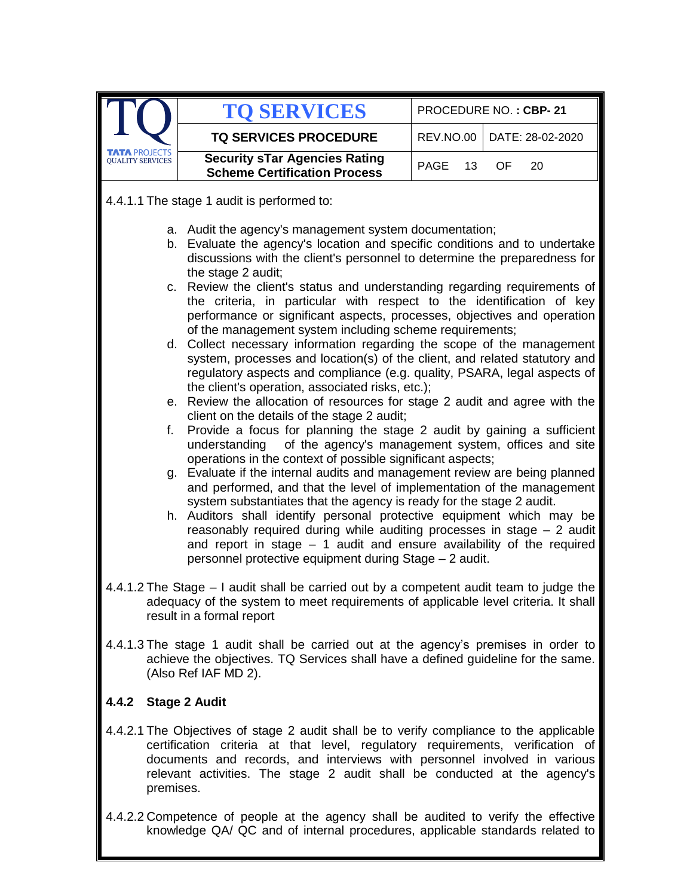|                 | <b>TO SERVICES</b>                                                                                                                                                                                                                                                                                                                                                                                                                                                                                                                                                                                                                                                                                                                                                                                                                                                                                                                                                                                                                                                                                                                                                                                                                                                                                                                                                                                                                                                                                                                                            |                   | PROCEDURE NO.: CBP-21 |  |  |  |
|-----------------|---------------------------------------------------------------------------------------------------------------------------------------------------------------------------------------------------------------------------------------------------------------------------------------------------------------------------------------------------------------------------------------------------------------------------------------------------------------------------------------------------------------------------------------------------------------------------------------------------------------------------------------------------------------------------------------------------------------------------------------------------------------------------------------------------------------------------------------------------------------------------------------------------------------------------------------------------------------------------------------------------------------------------------------------------------------------------------------------------------------------------------------------------------------------------------------------------------------------------------------------------------------------------------------------------------------------------------------------------------------------------------------------------------------------------------------------------------------------------------------------------------------------------------------------------------------|-------------------|-----------------------|--|--|--|
|                 | <b>TQ SERVICES PROCEDURE</b>                                                                                                                                                                                                                                                                                                                                                                                                                                                                                                                                                                                                                                                                                                                                                                                                                                                                                                                                                                                                                                                                                                                                                                                                                                                                                                                                                                                                                                                                                                                                  | REV.NO.00         | DATE: 28-02-2020      |  |  |  |
| OUALITY SERVICE | <b>Security sTar Agencies Rating</b><br><b>Scheme Certification Process</b>                                                                                                                                                                                                                                                                                                                                                                                                                                                                                                                                                                                                                                                                                                                                                                                                                                                                                                                                                                                                                                                                                                                                                                                                                                                                                                                                                                                                                                                                                   | <b>PAGE</b><br>13 | OF.<br>20             |  |  |  |
|                 | 4.4.1.1 The stage 1 audit is performed to:                                                                                                                                                                                                                                                                                                                                                                                                                                                                                                                                                                                                                                                                                                                                                                                                                                                                                                                                                                                                                                                                                                                                                                                                                                                                                                                                                                                                                                                                                                                    |                   |                       |  |  |  |
|                 | a. Audit the agency's management system documentation;<br>b. Evaluate the agency's location and specific conditions and to undertake<br>discussions with the client's personnel to determine the preparedness for<br>the stage 2 audit;<br>c. Review the client's status and understanding regarding requirements of<br>the criteria, in particular with respect to the identification of key<br>performance or significant aspects, processes, objectives and operation<br>of the management system including scheme requirements;<br>d. Collect necessary information regarding the scope of the management<br>system, processes and location(s) of the client, and related statutory and<br>regulatory aspects and compliance (e.g. quality, PSARA, legal aspects of<br>the client's operation, associated risks, etc.);<br>e. Review the allocation of resources for stage 2 audit and agree with the<br>client on the details of the stage 2 audit;<br>f. Provide a focus for planning the stage 2 audit by gaining a sufficient<br>understanding<br>of the agency's management system, offices and site<br>operations in the context of possible significant aspects;<br>g. Evaluate if the internal audits and management review are being planned<br>and performed, and that the level of implementation of the management<br>system substantiates that the agency is ready for the stage 2 audit.<br>h. Auditors shall identify personal protective equipment which may be<br>reasonably required during while auditing processes in stage - 2 audit |                   |                       |  |  |  |
|                 | personnel protective equipment during Stage - 2 audit.<br>4.4.1.2 The Stage - I audit shall be carried out by a competent audit team to judge the<br>adequacy of the system to meet requirements of applicable level criteria. It shall                                                                                                                                                                                                                                                                                                                                                                                                                                                                                                                                                                                                                                                                                                                                                                                                                                                                                                                                                                                                                                                                                                                                                                                                                                                                                                                       |                   |                       |  |  |  |
|                 | result in a formal report<br>4.4.1.3 The stage 1 audit shall be carried out at the agency's premises in order to<br>achieve the objectives. TQ Services shall have a defined guideline for the same.<br>(Also Ref IAF MD 2).                                                                                                                                                                                                                                                                                                                                                                                                                                                                                                                                                                                                                                                                                                                                                                                                                                                                                                                                                                                                                                                                                                                                                                                                                                                                                                                                  |                   |                       |  |  |  |
|                 | 4.4.2 Stage 2 Audit                                                                                                                                                                                                                                                                                                                                                                                                                                                                                                                                                                                                                                                                                                                                                                                                                                                                                                                                                                                                                                                                                                                                                                                                                                                                                                                                                                                                                                                                                                                                           |                   |                       |  |  |  |
| premises.       | 4.4.2.1 The Objectives of stage 2 audit shall be to verify compliance to the applicable<br>certification criteria at that level, regulatory requirements, verification of<br>documents and records, and interviews with personnel involved in various<br>relevant activities. The stage 2 audit shall be conducted at the agency's                                                                                                                                                                                                                                                                                                                                                                                                                                                                                                                                                                                                                                                                                                                                                                                                                                                                                                                                                                                                                                                                                                                                                                                                                            |                   |                       |  |  |  |
|                 | 4.4.2.2 Competence of people at the agency shall be audited to verify the effective<br>knowledge QA/ QC and of internal procedures, applicable standards related to                                                                                                                                                                                                                                                                                                                                                                                                                                                                                                                                                                                                                                                                                                                                                                                                                                                                                                                                                                                                                                                                                                                                                                                                                                                                                                                                                                                           |                   |                       |  |  |  |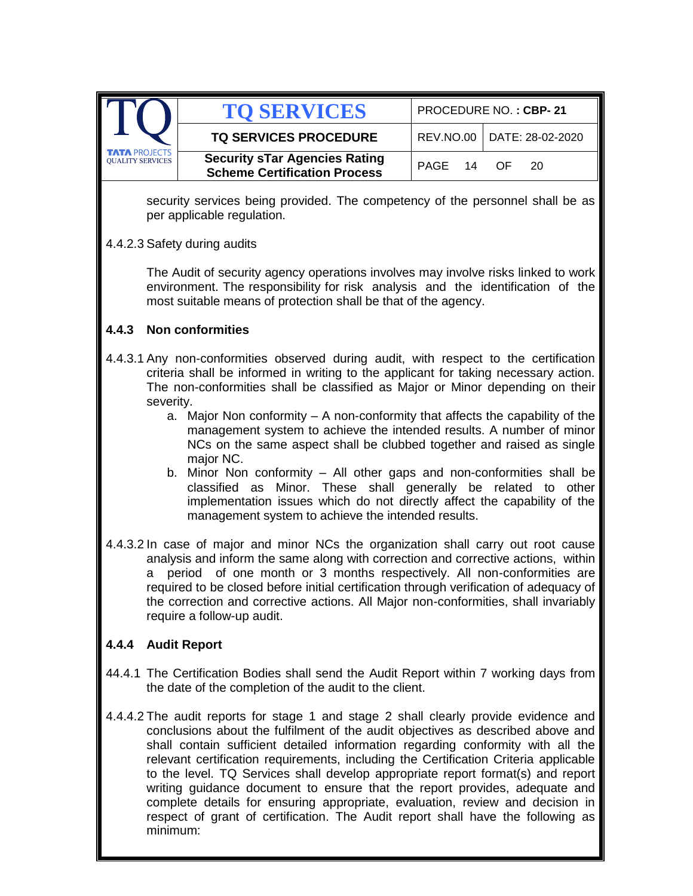|                                                 | <b>TO SERVICES</b>                                                          | PROCEDURE NO.: CBP-21 |                              |  |
|-------------------------------------------------|-----------------------------------------------------------------------------|-----------------------|------------------------------|--|
|                                                 | <b>TQ SERVICES PROCEDURE</b>                                                |                       | REV.NO.00   DATE: 28-02-2020 |  |
| <b>TATA PROJECTS</b><br><b>OUALITY SERVICES</b> | <b>Security sTar Agencies Rating</b><br><b>Scheme Certification Process</b> | PAGE 14 OF            | - 20                         |  |

security services being provided. The competency of the personnel shall be as per applicable regulation.

4.4.2.3 Safety during audits

The Audit of security agency operations involves may involve risks linked to work environment. The responsibility for risk analysis and the identification of the most suitable means of protection shall be that of the agency.

### **4.4.3 Non conformities**

- 4.4.3.1 Any non-conformities observed during audit, with respect to the certification criteria shall be informed in writing to the applicant for taking necessary action. The non-conformities shall be classified as Major or Minor depending on their severity.
	- a. Major Non conformity A non-conformity that affects the capability of the management system to achieve the intended results. A number of minor NCs on the same aspect shall be clubbed together and raised as single major NC.
	- b. Minor Non conformity All other gaps and non-conformities shall be classified as Minor. These shall generally be related to other implementation issues which do not directly affect the capability of the management system to achieve the intended results.
- 4.4.3.2 In case of major and minor NCs the organization shall carry out root cause analysis and inform the same along with correction and corrective actions, within a period of one month or 3 months respectively. All non-conformities are required to be closed before initial certification through verification of adequacy of the correction and corrective actions. All Major non-conformities, shall invariably require a follow-up audit.

### **4.4.4 Audit Report**

- 44.4.1 The Certification Bodies shall send the Audit Report within 7 working days from the date of the completion of the audit to the client.
- 4.4.4.2 The audit reports for stage 1 and stage 2 shall clearly provide evidence and conclusions about the fulfilment of the audit objectives as described above and shall contain sufficient detailed information regarding conformity with all the relevant certification requirements, including the Certification Criteria applicable to the level. TQ Services shall develop appropriate report format(s) and report writing guidance document to ensure that the report provides, adequate and complete details for ensuring appropriate, evaluation, review and decision in respect of grant of certification. The Audit report shall have the following as minimum: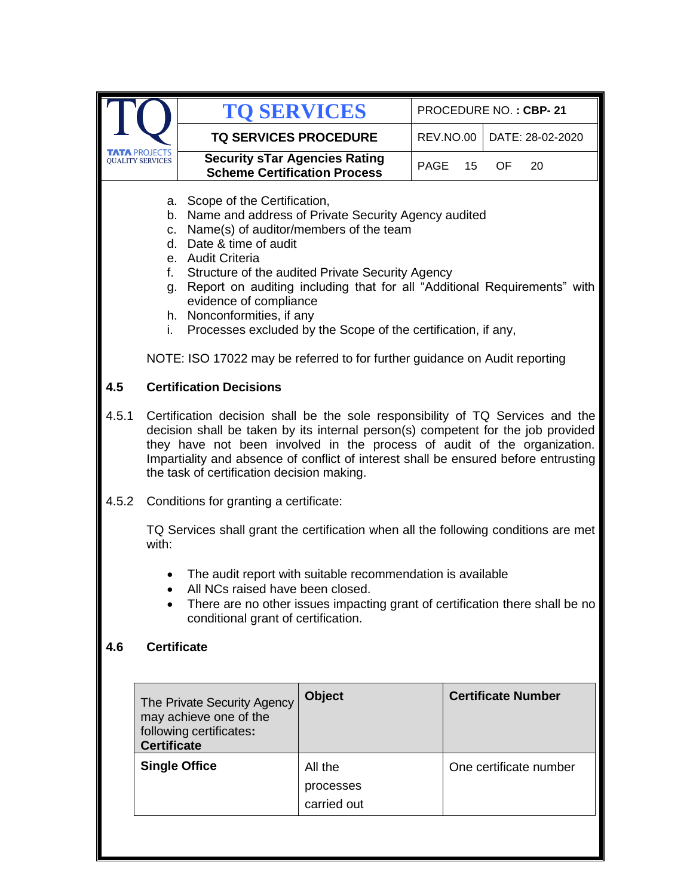|                 |                                                                                                                                                                                                                                                                                                                                                                                                                                                                                                                                             | <b>TO SERVICES</b>                                                                                                                                                                                                    |                                     |                  | PROCEDURE NO.: CBP-21     |  |
|-----------------|---------------------------------------------------------------------------------------------------------------------------------------------------------------------------------------------------------------------------------------------------------------------------------------------------------------------------------------------------------------------------------------------------------------------------------------------------------------------------------------------------------------------------------------------|-----------------------------------------------------------------------------------------------------------------------------------------------------------------------------------------------------------------------|-------------------------------------|------------------|---------------------------|--|
|                 |                                                                                                                                                                                                                                                                                                                                                                                                                                                                                                                                             | <b>TQ SERVICES PROCEDURE</b>                                                                                                                                                                                          |                                     | <b>REV.NO.00</b> | DATE: 28-02-2020          |  |
| DUALITY SERVICE |                                                                                                                                                                                                                                                                                                                                                                                                                                                                                                                                             | <b>Security sTar Agencies Rating</b><br><b>Scheme Certification Process</b>                                                                                                                                           |                                     | PAGE<br>15       | OF.<br>20                 |  |
|                 | a. Scope of the Certification,<br>b. Name and address of Private Security Agency audited<br>c. Name(s) of auditor/members of the team<br>d. Date & time of audit<br>e. Audit Criteria<br>Structure of the audited Private Security Agency<br>f.<br>g. Report on auditing including that for all "Additional Requirements" with<br>evidence of compliance<br>h. Nonconformities, if any<br>Processes excluded by the Scope of the certification, if any,<br>i.<br>NOTE: ISO 17022 may be referred to for further guidance on Audit reporting |                                                                                                                                                                                                                       |                                     |                  |                           |  |
| 4.5             |                                                                                                                                                                                                                                                                                                                                                                                                                                                                                                                                             | <b>Certification Decisions</b>                                                                                                                                                                                        |                                     |                  |                           |  |
| 4.5.1           | Certification decision shall be the sole responsibility of TQ Services and the<br>decision shall be taken by its internal person(s) competent for the job provided<br>they have not been involved in the process of audit of the organization.<br>Impartiality and absence of conflict of interest shall be ensured before entrusting<br>the task of certification decision making.                                                                                                                                                         |                                                                                                                                                                                                                       |                                     |                  |                           |  |
| 4.5.2           |                                                                                                                                                                                                                                                                                                                                                                                                                                                                                                                                             | Conditions for granting a certificate:                                                                                                                                                                                |                                     |                  |                           |  |
|                 | with:                                                                                                                                                                                                                                                                                                                                                                                                                                                                                                                                       | TQ Services shall grant the certification when all the following conditions are met                                                                                                                                   |                                     |                  |                           |  |
|                 |                                                                                                                                                                                                                                                                                                                                                                                                                                                                                                                                             | The audit report with suitable recommendation is available<br>All NCs raised have been closed.<br>There are no other issues impacting grant of certification there shall be no<br>conditional grant of certification. |                                     |                  |                           |  |
| 4.6             | <b>Certificate</b>                                                                                                                                                                                                                                                                                                                                                                                                                                                                                                                          |                                                                                                                                                                                                                       |                                     |                  |                           |  |
|                 | <b>Certificate</b>                                                                                                                                                                                                                                                                                                                                                                                                                                                                                                                          | The Private Security Agency<br>may achieve one of the<br>following certificates:                                                                                                                                      | <b>Object</b>                       |                  | <b>Certificate Number</b> |  |
|                 |                                                                                                                                                                                                                                                                                                                                                                                                                                                                                                                                             | <b>Single Office</b>                                                                                                                                                                                                  | All the<br>processes<br>carried out |                  | One certificate number    |  |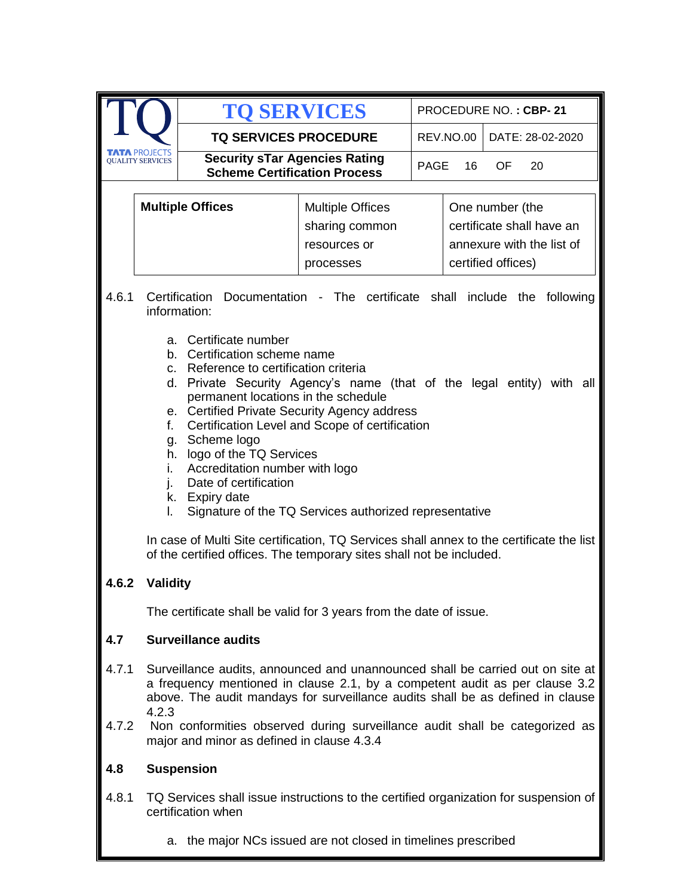|                |                                                                                                                                                                                                                                                                                                                                                                                                                                                                                                                                                                                                                                    | <b>TO SERVICES</b>                                                                                                                                                                                                                                                                                                             |                                                                        |      |                                                                                                 | PROCEDURE NO.: CBP-21 |
|----------------|------------------------------------------------------------------------------------------------------------------------------------------------------------------------------------------------------------------------------------------------------------------------------------------------------------------------------------------------------------------------------------------------------------------------------------------------------------------------------------------------------------------------------------------------------------------------------------------------------------------------------------|--------------------------------------------------------------------------------------------------------------------------------------------------------------------------------------------------------------------------------------------------------------------------------------------------------------------------------|------------------------------------------------------------------------|------|-------------------------------------------------------------------------------------------------|-----------------------|
|                |                                                                                                                                                                                                                                                                                                                                                                                                                                                                                                                                                                                                                                    | <b>TQ SERVICES PROCEDURE</b>                                                                                                                                                                                                                                                                                                   |                                                                        |      | <b>REV.NO.00</b>                                                                                | DATE: 28-02-2020      |
|                | <b>TA PROJECTS</b><br><b>OUALITY SERVICES</b>                                                                                                                                                                                                                                                                                                                                                                                                                                                                                                                                                                                      | <b>Security sTar Agencies Rating</b><br><b>Scheme Certification Process</b>                                                                                                                                                                                                                                                    |                                                                        | PAGE | 16                                                                                              | 20<br>OF              |
|                | <b>Multiple Offices</b>                                                                                                                                                                                                                                                                                                                                                                                                                                                                                                                                                                                                            |                                                                                                                                                                                                                                                                                                                                | <b>Multiple Offices</b><br>sharing common<br>resources or<br>processes |      | One number (the<br>certificate shall have an<br>annexure with the list of<br>certified offices) |                       |
| 4.6.1          |                                                                                                                                                                                                                                                                                                                                                                                                                                                                                                                                                                                                                                    | Certification Documentation - The certificate shall include the following<br>information:                                                                                                                                                                                                                                      |                                                                        |      |                                                                                                 |                       |
|                | a. Certificate number<br>Certification scheme name<br>b.<br>Reference to certification criteria<br>C.<br>Private Security Agency's name (that of the legal entity) with all<br>d.<br>permanent locations in the schedule<br>e. Certified Private Security Agency address<br>Certification Level and Scope of certification<br>f.<br>Scheme logo<br>g.<br>h. logo of the TQ Services<br>Accreditation number with logo<br>i.<br>Date of certification<br>k. Expiry date<br>Signature of the TQ Services authorized representative<br>L.<br>In case of Multi Site certification, TQ Services shall annex to the certificate the list |                                                                                                                                                                                                                                                                                                                                |                                                                        |      | of the certified offices. The temporary sites shall not be included.                            |                       |
| 4.6.2          | <b>Validity</b>                                                                                                                                                                                                                                                                                                                                                                                                                                                                                                                                                                                                                    |                                                                                                                                                                                                                                                                                                                                |                                                                        |      |                                                                                                 |                       |
|                |                                                                                                                                                                                                                                                                                                                                                                                                                                                                                                                                                                                                                                    | The certificate shall be valid for 3 years from the date of issue.                                                                                                                                                                                                                                                             |                                                                        |      |                                                                                                 |                       |
| 4.7            |                                                                                                                                                                                                                                                                                                                                                                                                                                                                                                                                                                                                                                    | <b>Surveillance audits</b>                                                                                                                                                                                                                                                                                                     |                                                                        |      |                                                                                                 |                       |
| 4.7.1<br>4.7.2 | 4.2.3                                                                                                                                                                                                                                                                                                                                                                                                                                                                                                                                                                                                                              | Surveillance audits, announced and unannounced shall be carried out on site at<br>a frequency mentioned in clause 2.1, by a competent audit as per clause 3.2<br>above. The audit mandays for surveillance audits shall be as defined in clause<br>Non conformities observed during surveillance audit shall be categorized as |                                                                        |      |                                                                                                 |                       |
|                | major and minor as defined in clause 4.3.4                                                                                                                                                                                                                                                                                                                                                                                                                                                                                                                                                                                         |                                                                                                                                                                                                                                                                                                                                |                                                                        |      |                                                                                                 |                       |
| 4.8            | <b>Suspension</b>                                                                                                                                                                                                                                                                                                                                                                                                                                                                                                                                                                                                                  |                                                                                                                                                                                                                                                                                                                                |                                                                        |      |                                                                                                 |                       |
| 4.8.1          |                                                                                                                                                                                                                                                                                                                                                                                                                                                                                                                                                                                                                                    | TQ Services shall issue instructions to the certified organization for suspension of<br>certification when                                                                                                                                                                                                                     |                                                                        |      |                                                                                                 |                       |
|                | а.                                                                                                                                                                                                                                                                                                                                                                                                                                                                                                                                                                                                                                 | the major NCs issued are not closed in timelines prescribed                                                                                                                                                                                                                                                                    |                                                                        |      |                                                                                                 |                       |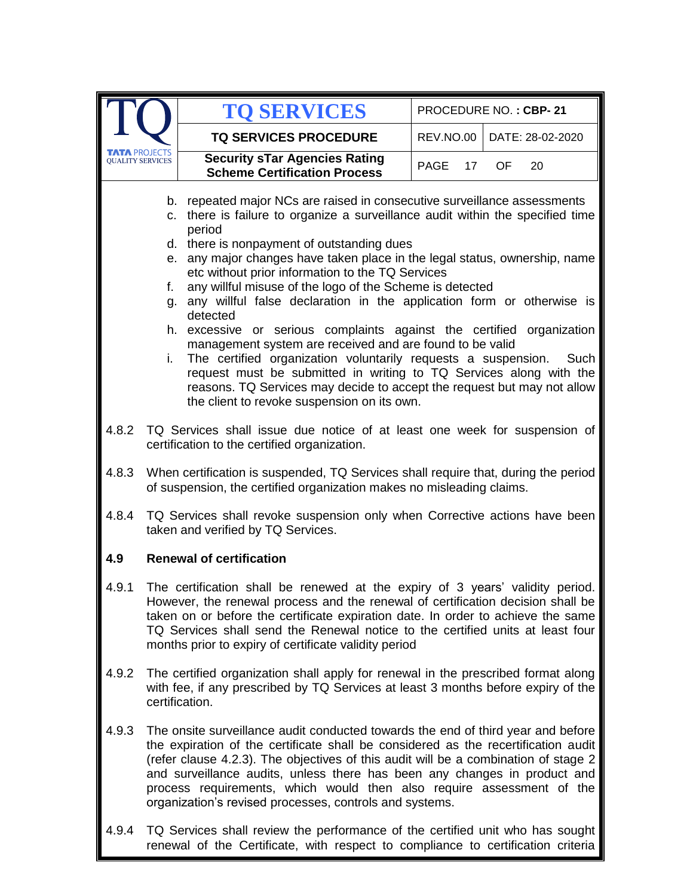|       |                                                                                                                                                                                                                                                                                                                                                                                                                                                                                                                                                                                                                                                                                                                                                                                                                                                                                                                                    | <b>TO SERVICES</b>                                                                                                                                                                                                                                                                                                                                                                                                                                                             |                  | PROCEDURE NO.: CBP-21 |  |  |  |
|-------|------------------------------------------------------------------------------------------------------------------------------------------------------------------------------------------------------------------------------------------------------------------------------------------------------------------------------------------------------------------------------------------------------------------------------------------------------------------------------------------------------------------------------------------------------------------------------------------------------------------------------------------------------------------------------------------------------------------------------------------------------------------------------------------------------------------------------------------------------------------------------------------------------------------------------------|--------------------------------------------------------------------------------------------------------------------------------------------------------------------------------------------------------------------------------------------------------------------------------------------------------------------------------------------------------------------------------------------------------------------------------------------------------------------------------|------------------|-----------------------|--|--|--|
|       |                                                                                                                                                                                                                                                                                                                                                                                                                                                                                                                                                                                                                                                                                                                                                                                                                                                                                                                                    | <b>TQ SERVICES PROCEDURE</b>                                                                                                                                                                                                                                                                                                                                                                                                                                                   | <b>REV.NO.00</b> | DATE: 28-02-2020      |  |  |  |
|       | <b>LITY SERVICES</b>                                                                                                                                                                                                                                                                                                                                                                                                                                                                                                                                                                                                                                                                                                                                                                                                                                                                                                               | <b>Security sTar Agencies Rating</b><br><b>Scheme Certification Process</b>                                                                                                                                                                                                                                                                                                                                                                                                    | PAGE<br>17       | OF.<br>20             |  |  |  |
|       | b. repeated major NCs are raised in consecutive surveillance assessments<br>c. there is failure to organize a surveillance audit within the specified time<br>period<br>d. there is nonpayment of outstanding dues<br>e. any major changes have taken place in the legal status, ownership, name<br>etc without prior information to the TQ Services<br>any willful misuse of the logo of the Scheme is detected<br>f.<br>g. any willful false declaration in the application form or otherwise is<br>detected<br>h. excessive or serious complaints against the certified<br>organization<br>management system are received and are found to be valid<br>The certified organization voluntarily requests a suspension. Such<br>i.<br>request must be submitted in writing to TQ Services along with the<br>reasons. TQ Services may decide to accept the request but may not allow<br>the client to revoke suspension on its own. |                                                                                                                                                                                                                                                                                                                                                                                                                                                                                |                  |                       |  |  |  |
| 4.8.2 | TQ Services shall issue due notice of at least one week for suspension of<br>certification to the certified organization.                                                                                                                                                                                                                                                                                                                                                                                                                                                                                                                                                                                                                                                                                                                                                                                                          |                                                                                                                                                                                                                                                                                                                                                                                                                                                                                |                  |                       |  |  |  |
| 4.8.3 |                                                                                                                                                                                                                                                                                                                                                                                                                                                                                                                                                                                                                                                                                                                                                                                                                                                                                                                                    | When certification is suspended, TQ Services shall require that, during the period<br>of suspension, the certified organization makes no misleading claims.                                                                                                                                                                                                                                                                                                                    |                  |                       |  |  |  |
| 4.8.4 |                                                                                                                                                                                                                                                                                                                                                                                                                                                                                                                                                                                                                                                                                                                                                                                                                                                                                                                                    | TQ Services shall revoke suspension only when Corrective actions have been<br>taken and verified by TQ Services.                                                                                                                                                                                                                                                                                                                                                               |                  |                       |  |  |  |
| 4.9   |                                                                                                                                                                                                                                                                                                                                                                                                                                                                                                                                                                                                                                                                                                                                                                                                                                                                                                                                    | <b>Renewal of certification</b>                                                                                                                                                                                                                                                                                                                                                                                                                                                |                  |                       |  |  |  |
| 4.9.1 |                                                                                                                                                                                                                                                                                                                                                                                                                                                                                                                                                                                                                                                                                                                                                                                                                                                                                                                                    | The certification shall be renewed at the expiry of 3 years' validity period.<br>However, the renewal process and the renewal of certification decision shall be<br>taken on or before the certificate expiration date. In order to achieve the same<br>TQ Services shall send the Renewal notice to the certified units at least four<br>months prior to expiry of certificate validity period                                                                                |                  |                       |  |  |  |
| 4.9.2 |                                                                                                                                                                                                                                                                                                                                                                                                                                                                                                                                                                                                                                                                                                                                                                                                                                                                                                                                    | The certified organization shall apply for renewal in the prescribed format along<br>with fee, if any prescribed by TQ Services at least 3 months before expiry of the<br>certification.                                                                                                                                                                                                                                                                                       |                  |                       |  |  |  |
| 4.9.3 |                                                                                                                                                                                                                                                                                                                                                                                                                                                                                                                                                                                                                                                                                                                                                                                                                                                                                                                                    | The onsite surveillance audit conducted towards the end of third year and before<br>the expiration of the certificate shall be considered as the recertification audit<br>(refer clause 4.2.3). The objectives of this audit will be a combination of stage 2<br>and surveillance audits, unless there has been any changes in product and<br>process requirements, which would then also require assessment of the<br>organization's revised processes, controls and systems. |                  |                       |  |  |  |
| 4.9.4 |                                                                                                                                                                                                                                                                                                                                                                                                                                                                                                                                                                                                                                                                                                                                                                                                                                                                                                                                    | TQ Services shall review the performance of the certified unit who has sought                                                                                                                                                                                                                                                                                                                                                                                                  |                  |                       |  |  |  |

renewal of the Certificate, with respect to compliance to certification criteria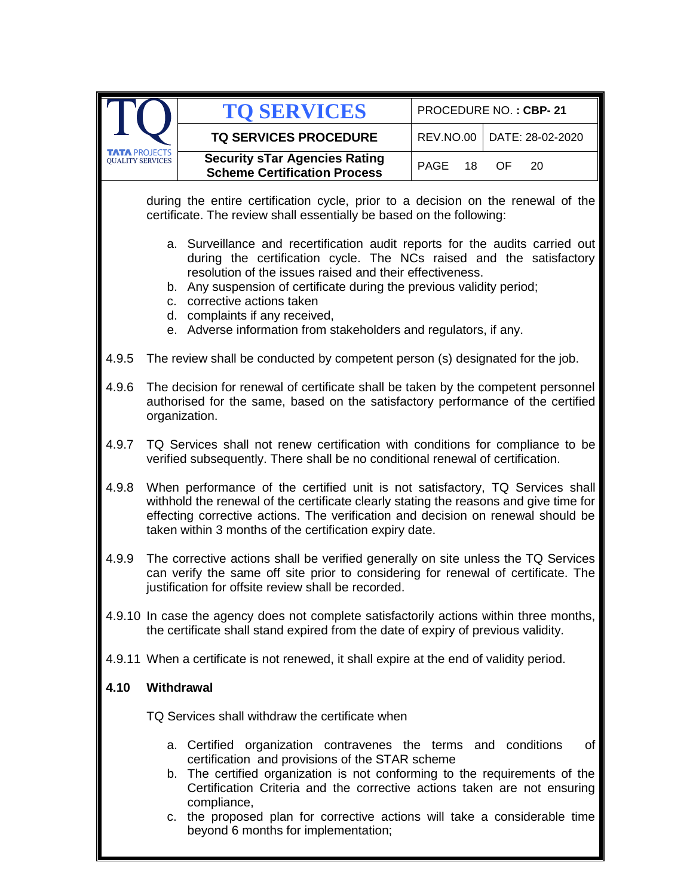|                 |                                                                                                                                                                                                                                                                                                                                                                                                                                  | <b>TO SERVICES</b>                                                                                                                                                                                                                                                                                                                                                                                             |            | PROCEDURE NO.: CBP-21 |  |  |
|-----------------|----------------------------------------------------------------------------------------------------------------------------------------------------------------------------------------------------------------------------------------------------------------------------------------------------------------------------------------------------------------------------------------------------------------------------------|----------------------------------------------------------------------------------------------------------------------------------------------------------------------------------------------------------------------------------------------------------------------------------------------------------------------------------------------------------------------------------------------------------------|------------|-----------------------|--|--|
|                 |                                                                                                                                                                                                                                                                                                                                                                                                                                  | <b>TQ SERVICES PROCEDURE</b>                                                                                                                                                                                                                                                                                                                                                                                   | REV.NO.00  | DATE: 28-02-2020      |  |  |
| OUALITY SERVICE |                                                                                                                                                                                                                                                                                                                                                                                                                                  | <b>Security sTar Agencies Rating</b><br><b>Scheme Certification Process</b>                                                                                                                                                                                                                                                                                                                                    | PAGE<br>18 | OF.<br>20             |  |  |
|                 |                                                                                                                                                                                                                                                                                                                                                                                                                                  | during the entire certification cycle, prior to a decision on the renewal of the<br>certificate. The review shall essentially be based on the following:                                                                                                                                                                                                                                                       |            |                       |  |  |
|                 | a. Surveillance and recertification audit reports for the audits carried out<br>during the certification cycle. The NCs raised and the satisfactory<br>resolution of the issues raised and their effectiveness.<br>b. Any suspension of certificate during the previous validity period;<br>corrective actions taken<br>C.<br>d. complaints if any received,<br>e. Adverse information from stakeholders and regulators, if any. |                                                                                                                                                                                                                                                                                                                                                                                                                |            |                       |  |  |
| 4.9.5           |                                                                                                                                                                                                                                                                                                                                                                                                                                  | The review shall be conducted by competent person (s) designated for the job.                                                                                                                                                                                                                                                                                                                                  |            |                       |  |  |
| 4.9.6           | The decision for renewal of certificate shall be taken by the competent personnel<br>authorised for the same, based on the satisfactory performance of the certified<br>organization.                                                                                                                                                                                                                                            |                                                                                                                                                                                                                                                                                                                                                                                                                |            |                       |  |  |
| 4.9.7           |                                                                                                                                                                                                                                                                                                                                                                                                                                  | TQ Services shall not renew certification with conditions for compliance to be<br>verified subsequently. There shall be no conditional renewal of certification.                                                                                                                                                                                                                                               |            |                       |  |  |
| 4.9.8           |                                                                                                                                                                                                                                                                                                                                                                                                                                  | When performance of the certified unit is not satisfactory, TQ Services shall<br>withhold the renewal of the certificate clearly stating the reasons and give time for<br>effecting corrective actions. The verification and decision on renewal should be<br>taken within 3 months of the certification expiry date.                                                                                          |            |                       |  |  |
| 4.9.9           |                                                                                                                                                                                                                                                                                                                                                                                                                                  | The corrective actions shall be verified generally on site unless the TQ Services<br>can verify the same off site prior to considering for renewal of certificate. The<br>justification for offsite review shall be recorded.                                                                                                                                                                                  |            |                       |  |  |
|                 |                                                                                                                                                                                                                                                                                                                                                                                                                                  | 4.9.10 In case the agency does not complete satisfactorily actions within three months,<br>the certificate shall stand expired from the date of expiry of previous validity.                                                                                                                                                                                                                                   |            |                       |  |  |
|                 |                                                                                                                                                                                                                                                                                                                                                                                                                                  | 4.9.11 When a certificate is not renewed, it shall expire at the end of validity period.                                                                                                                                                                                                                                                                                                                       |            |                       |  |  |
| 4.10            | Withdrawal                                                                                                                                                                                                                                                                                                                                                                                                                       |                                                                                                                                                                                                                                                                                                                                                                                                                |            |                       |  |  |
|                 | TQ Services shall withdraw the certificate when                                                                                                                                                                                                                                                                                                                                                                                  |                                                                                                                                                                                                                                                                                                                                                                                                                |            |                       |  |  |
|                 |                                                                                                                                                                                                                                                                                                                                                                                                                                  | a. Certified organization contravenes the terms and conditions<br>certification and provisions of the STAR scheme<br>b. The certified organization is not conforming to the requirements of the<br>Certification Criteria and the corrective actions taken are not ensuring<br>compliance,<br>c. the proposed plan for corrective actions will take a considerable time<br>beyond 6 months for implementation; |            | of                    |  |  |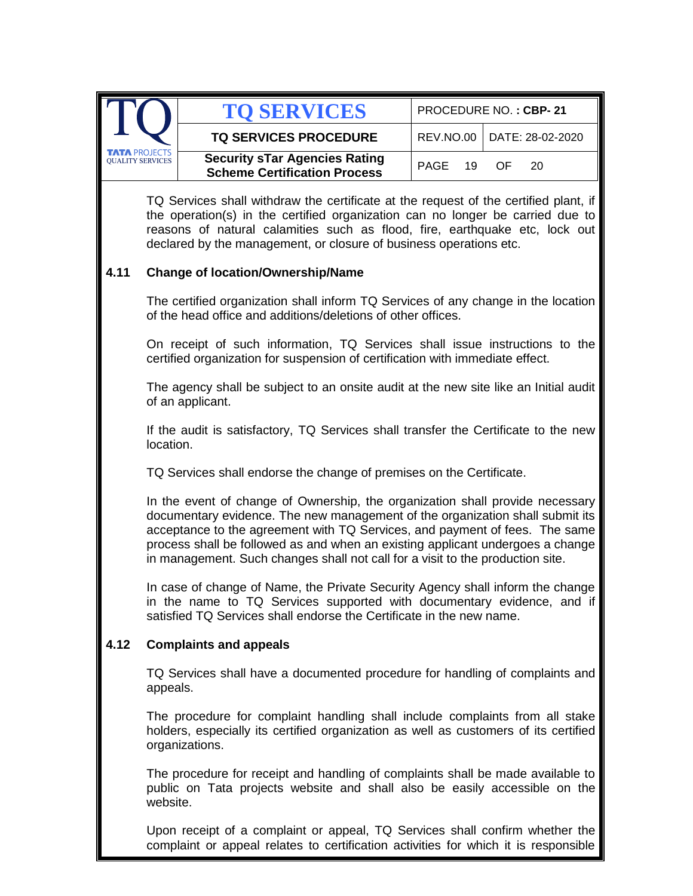|                                          | <b>TO SERVICES</b>                                                          | PROCEDURE NO.: CBP-21 |                              |  |
|------------------------------------------|-----------------------------------------------------------------------------|-----------------------|------------------------------|--|
|                                          | <b>TQ SERVICES PROCEDURE</b>                                                |                       | REV.NO.00   DATE: 28-02-2020 |  |
| TATA PROJECTS<br><b>OUALITY SERVICES</b> | <b>Security sTar Agencies Rating</b><br><b>Scheme Certification Process</b> | PAGE 19 OF            | 20.                          |  |

TQ Services shall withdraw the certificate at the request of the certified plant, if the operation(s) in the certified organization can no longer be carried due to reasons of natural calamities such as flood, fire, earthquake etc, lock out declared by the management, or closure of business operations etc.

#### **4.11 Change of location/Ownership/Name**

The certified organization shall inform TQ Services of any change in the location of the head office and additions/deletions of other offices.

On receipt of such information, TQ Services shall issue instructions to the certified organization for suspension of certification with immediate effect.

The agency shall be subject to an onsite audit at the new site like an Initial audit of an applicant.

If the audit is satisfactory, TQ Services shall transfer the Certificate to the new location.

TQ Services shall endorse the change of premises on the Certificate.

In the event of change of Ownership, the organization shall provide necessary documentary evidence. The new management of the organization shall submit its acceptance to the agreement with TQ Services, and payment of fees. The same process shall be followed as and when an existing applicant undergoes a change in management. Such changes shall not call for a visit to the production site.

In case of change of Name, the Private Security Agency shall inform the change in the name to TQ Services supported with documentary evidence, and if satisfied TQ Services shall endorse the Certificate in the new name.

#### **4.12 Complaints and appeals**

TQ Services shall have a documented procedure for handling of complaints and appeals.

The procedure for complaint handling shall include complaints from all stake holders, especially its certified organization as well as customers of its certified organizations.

The procedure for receipt and handling of complaints shall be made available to public on Tata projects website and shall also be easily accessible on the website.

Upon receipt of a complaint or appeal, TQ Services shall confirm whether the complaint or appeal relates to certification activities for which it is responsible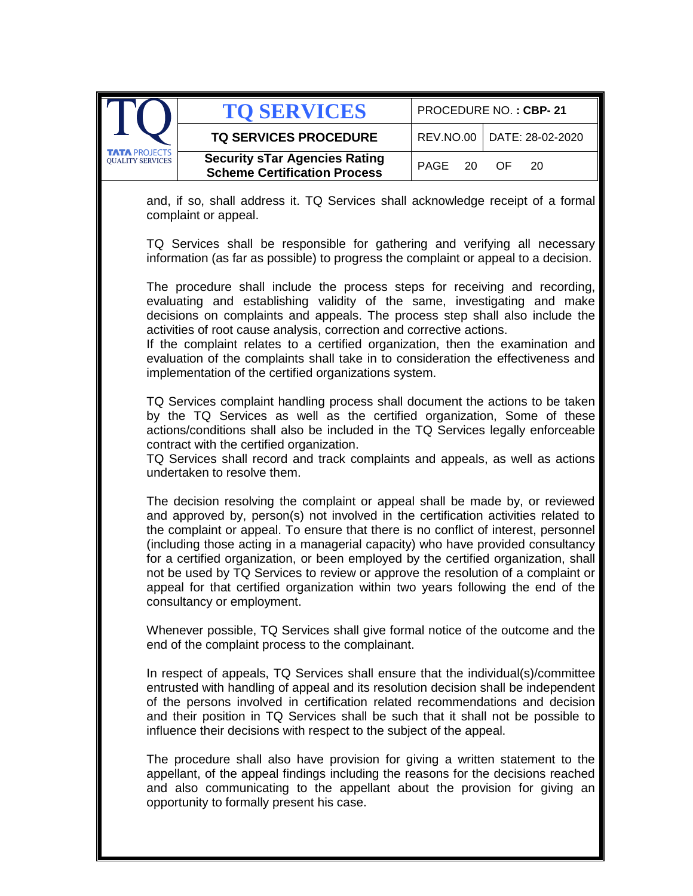|                                                 | <b>TO SERVICES</b>                                                          |            | PROCEDURE NO.: CBP-21        |
|-------------------------------------------------|-----------------------------------------------------------------------------|------------|------------------------------|
|                                                 | <b>TQ SERVICES PROCEDURE</b>                                                |            | REV.NO.00   DATE: 28-02-2020 |
| <b>TATA PROJECTS</b><br><b>OUALITY SERVICES</b> | <b>Security sTar Agencies Rating</b><br><b>Scheme Certification Process</b> | PAGE 20 OF | -20                          |

and, if so, shall address it. TQ Services shall acknowledge receipt of a formal complaint or appeal.

TQ Services shall be responsible for gathering and verifying all necessary information (as far as possible) to progress the complaint or appeal to a decision.

The procedure shall include the process steps for receiving and recording, evaluating and establishing validity of the same, investigating and make decisions on complaints and appeals. The process step shall also include the activities of root cause analysis, correction and corrective actions.

If the complaint relates to a certified organization, then the examination and evaluation of the complaints shall take in to consideration the effectiveness and implementation of the certified organizations system.

TQ Services complaint handling process shall document the actions to be taken by the TQ Services as well as the certified organization, Some of these actions/conditions shall also be included in the TQ Services legally enforceable contract with the certified organization.

TQ Services shall record and track complaints and appeals, as well as actions undertaken to resolve them.

The decision resolving the complaint or appeal shall be made by, or reviewed and approved by, person(s) not involved in the certification activities related to the complaint or appeal. To ensure that there is no conflict of interest, personnel (including those acting in a managerial capacity) who have provided consultancy for a certified organization, or been employed by the certified organization, shall not be used by TQ Services to review or approve the resolution of a complaint or appeal for that certified organization within two years following the end of the consultancy or employment.

Whenever possible, TQ Services shall give formal notice of the outcome and the end of the complaint process to the complainant.

In respect of appeals, TQ Services shall ensure that the individual(s)/committee entrusted with handling of appeal and its resolution decision shall be independent of the persons involved in certification related recommendations and decision and their position in TQ Services shall be such that it shall not be possible to influence their decisions with respect to the subject of the appeal.

The procedure shall also have provision for giving a written statement to the appellant, of the appeal findings including the reasons for the decisions reached and also communicating to the appellant about the provision for giving an opportunity to formally present his case.